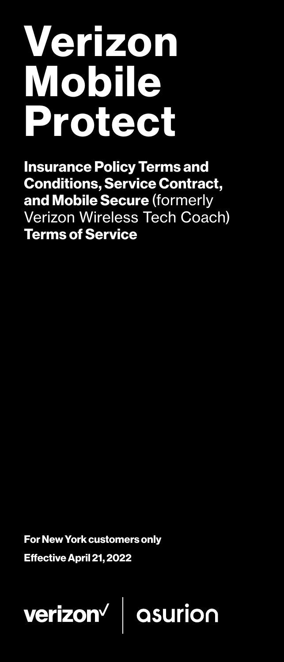# Verizon Mobile Protect

Insurance Policy Terms and Conditions, Service Contract, and Mobile Secure (formerly Verizon Wireless Tech Coach) Terms of Service

For New York customers only

Effective April 21, 2022

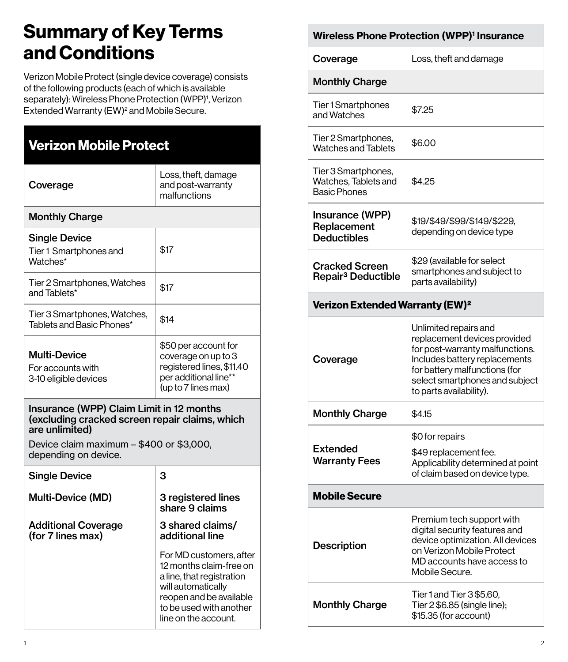## Summary of Key Terms and Conditions

Verizon Mobile Protect (single device coverage) consists of the following products (each of which is available separately): Wireless Phone Protection (WPP)<sup>1</sup>, Verizon Extended Warranty (EW)<sup>2</sup> and Mobile Secure.

| <b>Verizon Mobile Protect</b>                                                                                |                                                                                                                                                                                     |  |  |  |
|--------------------------------------------------------------------------------------------------------------|-------------------------------------------------------------------------------------------------------------------------------------------------------------------------------------|--|--|--|
| Coverage                                                                                                     | Loss, theft, damage<br>and post-warranty<br>malfunctions                                                                                                                            |  |  |  |
| <b>Monthly Charge</b>                                                                                        |                                                                                                                                                                                     |  |  |  |
| <b>Single Device</b><br>Tier 1 Smartphones and<br>Watches*                                                   | \$17                                                                                                                                                                                |  |  |  |
| Tier 2 Smartphones, Watches<br>and Tablets*                                                                  | \$17                                                                                                                                                                                |  |  |  |
| Tier 3 Smartphones, Watches,<br>Tablets and Basic Phones*                                                    | \$14                                                                                                                                                                                |  |  |  |
| Multi-Device<br>For accounts with<br>3-10 eligible devices                                                   | \$50 per account for<br>coverage on up to 3<br>registered lines, \$11.40<br>per additional line**<br>(up to 7 lines max)                                                            |  |  |  |
| Insurance (WPP) Claim Limit in 12 months<br>(excluding cracked screen repair claims, which<br>are unlimited) |                                                                                                                                                                                     |  |  |  |
| Device claim maximum - \$400 or \$3,000,<br>depending on device.                                             |                                                                                                                                                                                     |  |  |  |
| <b>Single Device</b>                                                                                         | 3                                                                                                                                                                                   |  |  |  |
| <b>Multi-Device (MD)</b>                                                                                     | 3 registered lines<br>share 9 claims                                                                                                                                                |  |  |  |
| <b>Additional Coverage</b><br>(for 7 lines max)                                                              | 3 shared claims/<br>additional line                                                                                                                                                 |  |  |  |
|                                                                                                              | For MD customers, after<br>12 months claim-free on<br>a line, that registration<br>will automatically<br>reopen and be available<br>to be used with another<br>line on the account. |  |  |  |

#### Wireless Phone Protection (WPP)<sup>1</sup> Insurance

| Coverage                                                           | Loss, theft and damage                                                                                                                                                                                                  |  |  |
|--------------------------------------------------------------------|-------------------------------------------------------------------------------------------------------------------------------------------------------------------------------------------------------------------------|--|--|
| <b>Monthly Charge</b>                                              |                                                                                                                                                                                                                         |  |  |
| <b>Tier1Smartphones</b><br>and Watches                             | \$7.25                                                                                                                                                                                                                  |  |  |
| Tier 2 Smartphones,<br><b>Watches and Tablets</b>                  | \$6.00                                                                                                                                                                                                                  |  |  |
| Tier 3 Smartphones,<br>Watches, Tablets and<br><b>Basic Phones</b> | \$4.25                                                                                                                                                                                                                  |  |  |
| Insurance (WPP)<br>Replacement<br><b>Deductibles</b>               | \$19/\$49/\$99/\$149/\$229,<br>depending on device type                                                                                                                                                                 |  |  |
| <b>Cracked Screen</b><br>Repair <sup>3</sup> Deductible            | \$29 (available for select<br>smartphones and subject to<br>parts availability)                                                                                                                                         |  |  |
| <b>Verizon Extended Warranty (EW)<sup>2</sup></b>                  |                                                                                                                                                                                                                         |  |  |
| Coverage                                                           | Unlimited repairs and<br>replacement devices provided<br>for post-warranty malfunctions.<br>Includes battery replacements<br>for battery malfunctions (for<br>select smartphones and subject<br>to parts availability). |  |  |
| <b>Monthly Charge</b>                                              | \$4.15                                                                                                                                                                                                                  |  |  |
| Extended<br><b>Warranty Fees</b>                                   | \$0 for repairs<br>\$49 replacement fee.<br>Applicability determined at point<br>of claim based on device type.                                                                                                         |  |  |
| <b>Mobile Secure</b>                                               |                                                                                                                                                                                                                         |  |  |
| <b>Description</b>                                                 | Premium tech support with<br>digital security features and<br>device optimization. All devices<br>on Verizon Mobile Protect<br>MD accounts have access to<br>Mobile Secure.                                             |  |  |
| <b>Monthly Charge</b>                                              | Tier 1 and Tier 3 \$5.60,<br>Tier 2 \$6.85 (single line);<br>\$15.35 (for account)                                                                                                                                      |  |  |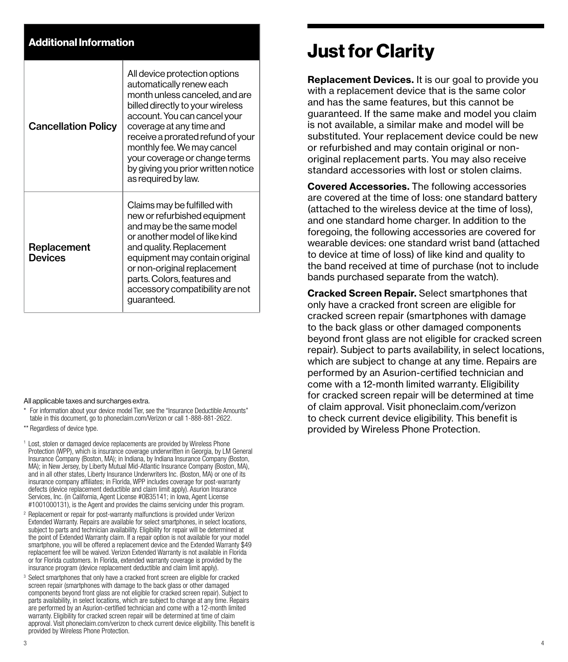## Additional Information

| <b>Cancellation Policy</b> | All device protection options<br>automatically renew each<br>month unless canceled, and are<br>billed directly to your wireless<br>account. You can cancel your<br>coverage at any time and<br>receive a prorated refund of your<br>monthly fee. We may cancel<br>your coverage or change terms<br>by giving you prior written notice<br>as required by law. |
|----------------------------|--------------------------------------------------------------------------------------------------------------------------------------------------------------------------------------------------------------------------------------------------------------------------------------------------------------------------------------------------------------|
| Replacement<br>Devices     | Claims may be fulfilled with<br>new or refurbished equipment<br>and may be the same model<br>or another model of like kind<br>and quality. Replacement<br>equipment may contain original<br>or non-original replacement<br>parts. Colors, features and<br>accessory compatibility are not<br>guaranteed.                                                     |

#### All applicable taxes and surcharges extra.

- For information about your device model Tier, see the "Insurance Deductible Amounts" table in this document, go to phoneclaim.com/Verizon or call 1-888-881-2622.
- \*\* Regardless of device type.
- <sup>1</sup> Lost, stolen or damaged device replacements are provided by Wireless Phone Protection (WPP), which is insurance coverage underwritten in Georgia, by LM General Insurance Company (Boston, MA); in Indiana, by Indiana Insurance Company (Boston, MA); in New Jersey, by Liberty Mutual Mid-Atlantic Insurance Company (Boston, MA), and in all other states, Liberty Insurance Underwriters Inc. (Boston, MA) or one of its insurance company affiliates; in Florida, WPP includes coverage for post-warranty defects (device replacement deductible and claim limit apply). Asurion Insurance Services, Inc. (in California, Agent License #0B35141; in Iowa, Agent License #1001000131), is the Agent and provides the claims servicing under this program.
- <sup>2</sup> Replacement or repair for post-warranty malfunctions is provided under Verizon Extended Warranty. Repairs are available for select smartphones, in select locations, subject to parts and technician availability. Eligibility for repair will be determined at the point of Extended Warranty claim. If a repair option is not available for your model smartphone, you will be offered a replacement device and the Extended Warranty \$49 replacement fee will be waived. Verizon Extended Warranty is not available in Florida or for Florida customers. In Florida, extended warranty coverage is provided by the insurance program (device replacement deductible and claim limit apply).
- <sup>3</sup> Select smartphones that only have a cracked front screen are eligible for cracked screen repair (smartphones with damage to the back glass or other damaged components beyond front glass are not eligible for cracked screen repair). Subject to parts availability, in select locations, which are subject to change at any time. Repairs are performed by an Asurion-certified technician and come with a 12-month limited warranty. Eligibility for cracked screen repair will be determined at time of claim approval. Visit phoneclaim.com/verizon to check current device eligibility. This benefit is provided by Wireless Phone Protection.

## Just for Clarity

Replacement Devices. It is our goal to provide you with a replacement device that is the same color and has the same features, but this cannot be guaranteed. If the same make and model you claim is not available, a similar make and model will be substituted. Your replacement device could be new or refurbished and may contain original or nonoriginal replacement parts. You may also receive standard accessories with lost or stolen claims.

Covered Accessories. The following accessories are covered at the time of loss: one standard battery (attached to the wireless device at the time of loss), and one standard home charger. In addition to the foregoing, the following accessories are covered for wearable devices: one standard wrist band (attached to device at time of loss) of like kind and quality to the band received at time of purchase (not to include bands purchased separate from the watch).

Cracked Screen Repair. Select smartphones that only have a cracked front screen are eligible for cracked screen repair (smartphones with damage to the back glass or other damaged components beyond front glass are not eligible for cracked screen repair). Subject to parts availability, in select locations, which are subject to change at any time. Repairs are performed by an Asurion-certified technician and come with a 12-month limited warranty. Eligibility for cracked screen repair will be determined at time of claim approval. Visit phoneclaim.com/verizon to check current device eligibility. This benefit is provided by Wireless Phone Protection.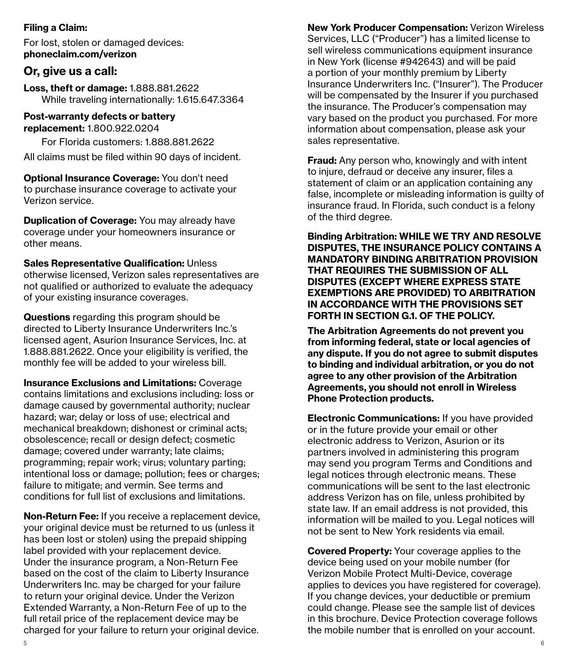#### Filing a Claim:

For lost, stolen or damaged devices: phoneclaim.com/verizon

## **Or, give us a call:**

Loss, theft or damage: 1.888.881.2622 While traveling internationally: 1.615.647.3364

#### Post-warranty defects or battery replacement: 1.800.922.0204

For Florida customers: 1.888.881.2622

All claims must be filed within 90 days of incident.

Optional Insurance Coverage: You don't need to purchase insurance coverage to activate your Verizon service.

**Duplication of Coverage:** You may already have coverage under your homeowners insurance or other means.

Sales Representative Qualification: Unless otherwise licensed, Verizon sales representatives are not qualified or authorized to evaluate the adequacy of your existing insurance coverages.

Questions regarding this program should be directed to Liberty Insurance Underwriters Inc.'s licensed agent, Asurion Insurance Services, Inc. at 1.888.881.2622. Once your eligibility is verified, the monthly fee will be added to your wireless bill.

Insurance Exclusions and Limitations: Coverage contains limitations and exclusions including: loss or damage caused by governmental authority; nuclear hazard; war; delay or loss of use; electrical and mechanical breakdown; dishonest or criminal acts; obsolescence; recall or design defect; cosmetic damage; covered under warranty; late claims; programming; repair work; virus; voluntary parting; intentional loss or damage; pollution; fees or charges; failure to mitigate; and vermin. See terms and conditions for full list of exclusions and limitations.

Non-Return Fee: If you receive a replacement device, your original device must be returned to us (unless it has been lost or stolen) using the prepaid shipping label provided with your replacement device. Under the insurance program, a Non-Return Fee based on the cost of the claim to Liberty Insurance Underwriters Inc. may be charged for your failure to return your original device. Under the Verizon Extended Warranty, a Non-Return Fee of up to the full retail price of the replacement device may be charged for your failure to return your original device.

New York Producer Compensation: Verizon Wireless Services, LLC ("Producer") has a limited license to sell wireless communications equipment insurance in New York (license #942643) and will be paid a portion of your monthly premium by Liberty Insurance Underwriters Inc. ("Insurer"). The Producer will be compensated by the Insurer if you purchased the insurance. The Producer's compensation may vary based on the product you purchased. For more information about compensation, please ask your sales representative.

**Fraud:** Any person who, knowingly and with intent to injure, defraud or deceive any insurer, files a statement of claim or an application containing any false, incomplete or misleading information is guilty of insurance fraud. In Florida, such conduct is a felony of the third degree.

Binding Arbitration: WHILE WE TRY AND RESOLVE DISPUTES, THE INSURANCE POLICY CONTAINS A MANDATORY BINDING ARBITRATION PROVISION THAT REQUIRES THE SUBMISSION OF ALL DISPUTES (EXCEPT WHERE EXPRESS STATE EXEMPTIONS ARE PROVIDED) TO ARBITRATION IN ACCORDANCE WITH THE PROVISIONS SET FORTH IN SECTION G.1. OF THE POLICY.

The Arbitration Agreements do not prevent you from informing federal, state or local agencies of any dispute. If you do not agree to submit disputes to binding and individual arbitration, or you do not agree to any other provision of the Arbitration Agreements, you should not enroll in Wireless Phone Protection products.

Electronic Communications: If you have provided or in the future provide your email or other electronic address to Verizon, Asurion or its partners involved in administering this program may send you program Terms and Conditions and legal notices through electronic means. These communications will be sent to the last electronic address Verizon has on file, unless prohibited by state law. If an email address is not provided, this information will be mailed to you. Legal notices will not be sent to New York residents via email.

Covered Property: Your coverage applies to the device being used on your mobile number (for Verizon Mobile Protect Multi-Device, coverage applies to devices you have registered for coverage). If you change devices, your deductible or premium could change. Please see the sample list of devices in this brochure. Device Protection coverage follows the mobile number that is enrolled on your account.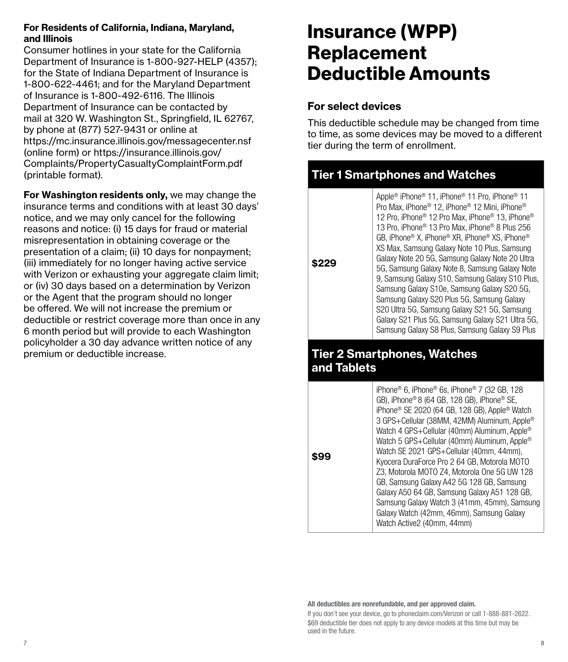#### For Residents of California, Indiana, Maryland, and Illinois

Consumer hotlines in your state for the California Department of Insurance is 1-800-927-HELP (4357); for the State of Indiana Department of Insurance is 1-800-622-4461; and for the Maryland Department of Insurance is 1-800-492-6116. The Illinois Department of Insurance can be contacted by mail at 320 W. Washington St., Springfield, IL 62767, by phone at (877) 527-9431 or online at https://mc.insurance.illinois.gov/messagecenter.nsf (online form) or https://insurance.illinois.gov/ Complaints/PropertyCasualtyComplaintForm.pdf (printable format).

For Washington residents only, we may change the insurance terms and conditions with at least 30 days' notice, and we may only cancel for the following reasons and notice: (i) 15 days for fraud or material misrepresentation in obtaining coverage or the presentation of a claim; (ii) 10 days for nonpayment; (iii) immediately for no longer having active service with Verizon or exhausting your aggregate claim limit; or (iv) 30 days based on a determination by Verizon or the Agent that the program should no longer be offered. We will not increase the premium or deductible or restrict coverage more than once in any 6 month period but will provide to each Washington policyholder a 30 day advance written notice of any premium or deductible increase.

## Insurance (WPP) Replacement Deductible Amounts

## For select devices

**\$229**

**\$99**

This deductible schedule may be changed from time to time, as some devices may be moved to a different tier during the term of enrollment.

## Tier 1 Smartphones and Watches

Apple® iPhone® 11, iPhone® 11 Pro, iPhone® 11 Pro Max, iPhone® 12, iPhone® 12 Mini, iPhone® 12 Pro, iPhone® 12 Pro Max, iPhone® 13, iPhone® 13 Pro, iPhone® 13 Pro Max, iPhone® 8 Plus 256 GB, iPhone® X, iPhone® XR, iPhone® XS, iPhone® XS Max, Samsung Galaxy Note 10 Plus, Samsung Galaxy Note 20 5G, Samsung Galaxy Note 20 Ultra 5G, Samsung Galaxy Note 8, Samsung Galaxy Note 9, Samsung Galaxy S10, Samsung Galaxy S10 Plus, Samsung Galaxy S10e, Samsung Galaxy S20 5G, Samsung Galaxy S20 Plus 5G, Samsung Galaxy S20 Ultra 5G, Samsung Galaxy S21 5G, Samsung Galaxy S21 Plus 5G, Samsung Galaxy S21 Ultra 5G, Samsung Galaxy S8 Plus, Samsung Galaxy S9 Plus

## Tier 2 Smartphones, Watches and Tablets

iPhone® 6, iPhone® 6s, iPhone® 7 (32 GB, 128 GB), iPhone® 8 (64 GB, 128 GB), iPhone® SE, iPhone® SE 2020 (64 GB, 128 GB), Apple® Watch 3 GPS+Cellular (38MM, 42MM) Aluminum, Apple® Watch 4 GPS+Cellular (40mm) Aluminum, Apple® Watch 5 GPS+Cellular (40mm) Aluminum, Apple® Watch SE 2021 GPS+Cellular (40mm, 44mm), Kyocera DuraForce Pro 2 64 GB, Motorola MOTO Z3, Motorola MOTO Z4, Motorola One 5G UW 128 GB, Samsung Galaxy A42 5G 128 GB, Samsung Galaxy A50 64 GB, Samsung Galaxy A51 128 GB, Samsung Galaxy Watch 3 (41mm, 45mm), Samsung Galaxy Watch (42mm, 46mm), Samsung Galaxy Watch Active2 (40mm, 44mm)

All deductibles are nonrefundable, and per approved claim.

If you don't see your device, go to phoneclaim.com/Verizon or call 1-888-881-2622. \$69 deductible tier does not apply to any device models at this time but may be used in the future.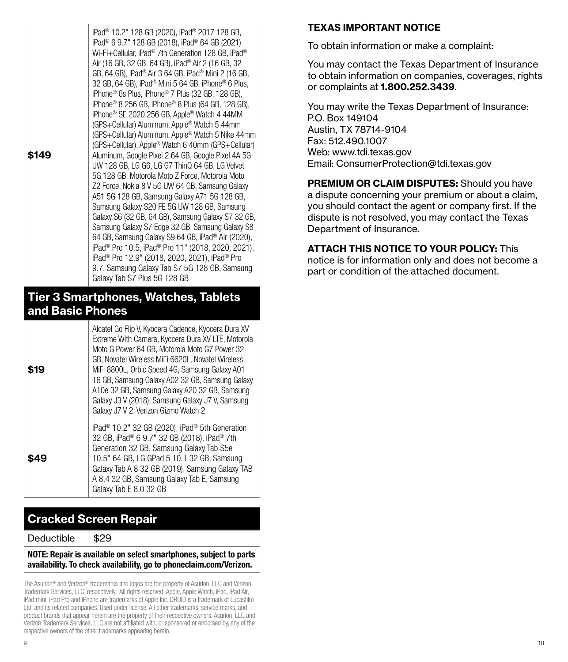| \$149                                                      | iPad <sup>®</sup> 10.2" 128 GB (2020), iPad <sup>®</sup> 2017 128 GB,<br>iPad <sup>®</sup> 6 9.7" 128 GB (2018), iPad <sup>®</sup> 64 GB (2021)<br>Wi-Fi+Cellular, iPad® 7th Generation 128 GB, iPad®<br>Air (16 GB, 32 GB, 64 GB), iPad <sup>®</sup> Air 2 (16 GB, 32<br>GB, 64 GB), iPad <sup>®</sup> Air 3 64 GB, iPad <sup>®</sup> Mini 2 (16 GB,<br>32 GB, 64 GB), iPad <sup>®</sup> Mini 5 64 GB, iPhone® 6 Plus,<br>iPhone <sup>®</sup> 6s Plus, iPhone <sup>®</sup> 7 Plus (32 GB, 128 GB),<br>iPhone® 8 256 GB, iPhone® 8 Plus (64 GB, 128 GB),<br>iPhone <sup>®</sup> SE 2020 256 GB, Apple® Watch 4 44MM<br>(GPS+Cellular) Aluminum, Apple® Watch 5 44mm<br>(GPS+Cellular) Aluminum, Apple® Watch 5 Nike 44mm<br>(GPS+Cellular), Apple® Watch 6 40mm (GPS+Cellular)<br>Aluminum, Google Pixel 2 64 GB, Google Pixel 4A 5G<br>UW 128 GB, LG G6, LG G7 ThinQ 64 GB, LG Velvet<br>5G 128 GB, Motorola Moto Z Force, Motorola Moto<br>Z2 Force, Nokia 8 V 5G UW 64 GB, Samsung Galaxy<br>A51 5G 128 GB, Samsung Galaxy A71 5G 128 GB,<br>Samsung Galaxy S20 FE 5G UW 128 GB, Samsung<br>Galaxy S6 (32 GB, 64 GB), Samsung Galaxy S7 32 GB,<br>Samsung Galaxy S7 Edge 32 GB, Samsung Galaxy S8<br>64 GB, Samsung Galaxy S9 64 GB, iPad <sup>®</sup> Air (2020),<br>iPad <sup>®</sup> Pro 10.5, iPad <sup>®</sup> Pro 11" (2018, 2020, 2021),<br>iPad <sup>®</sup> Pro 12.9" (2018, 2020, 2021), iPad <sup>®</sup> Pro<br>9.7, Samsung Galaxy Tab S7 5G 128 GB, Samsung |  |  |
|------------------------------------------------------------|------------------------------------------------------------------------------------------------------------------------------------------------------------------------------------------------------------------------------------------------------------------------------------------------------------------------------------------------------------------------------------------------------------------------------------------------------------------------------------------------------------------------------------------------------------------------------------------------------------------------------------------------------------------------------------------------------------------------------------------------------------------------------------------------------------------------------------------------------------------------------------------------------------------------------------------------------------------------------------------------------------------------------------------------------------------------------------------------------------------------------------------------------------------------------------------------------------------------------------------------------------------------------------------------------------------------------------------------------------------------------------------------------------------------------------------------------------------------------|--|--|
|                                                            | Galaxy Tab S7 Plus 5G 128 GB                                                                                                                                                                                                                                                                                                                                                                                                                                                                                                                                                                                                                                                                                                                                                                                                                                                                                                                                                                                                                                                                                                                                                                                                                                                                                                                                                                                                                                                 |  |  |
| <b>Tier 3 Smartphones, Watches, Tablets</b><br>Raeic Dhona |                                                                                                                                                                                                                                                                                                                                                                                                                                                                                                                                                                                                                                                                                                                                                                                                                                                                                                                                                                                                                                                                                                                                                                                                                                                                                                                                                                                                                                                                              |  |  |

## and Basic Phones

| S19 | Alcatel Go Flip V, Kyocera Cadence, Kyocera Dura XV<br>Extreme With Camera, Kyocera Dura XV LTE, Motorola<br>Moto G Power 64 GB, Motorola Moto G7 Power 32<br>GB, Novatel Wireless MiFi 6620L, Novatel Wireless<br>MiFi 8800L, Orbic Speed 4G, Samsung Galaxy A01<br>16 GB, Samsung Galaxy A02 32 GB, Samsung Galaxy<br>A10e 32 GB, Samsung Galaxy A20 32 GB, Samsung<br>Galaxy J3 V (2018), Samsung Galaxy J7 V, Samsung<br>Galaxy J7 V 2. Verizon Gizmo Watch 2 |
|-----|-------------------------------------------------------------------------------------------------------------------------------------------------------------------------------------------------------------------------------------------------------------------------------------------------------------------------------------------------------------------------------------------------------------------------------------------------------------------|
| 549 | iPad <sup>®</sup> 10.2" 32 GB (2020), iPad <sup>®</sup> 5th Generation<br>32 GB, iPad® 6 9.7" 32 GB (2018), iPad® 7th<br>Generation 32 GB, Samsung Galaxy Tab S5e<br>10.5" 64 GB, LG GPad 5 10.1 32 GB, Samsung<br>Galaxy Tab A 8 32 GB (2019), Samsung Galaxy TAB<br>A 8.4 32 GB, Samsung Galaxy Tab E, Samsung<br>Galaxy Tab E 8.0 32 GB                                                                                                                        |

## Cracked Screen Repair

Deductible  $| $29$ 

NOTE: Repair is available on select smartphones, subject to parts availability. To check availability, go to phoneclaim.com/Verizon.

The Asurion® and Verizon® trademarks and logos are the property of Asurion, LLC and Verizon Trademark Services, LLC, respectively. All rights reserved. Apple, Apple Watch, iPad, iPad Air, iPad mini, iPad Pro and iPhone are trademarks of Apple Inc. DROID is a trademark of Lucasfilm Ltd. and its related companies. Used under license. All other trademarks, service marks, and product brands that appear herein are the property of their respective owners. Asurion, LLC and Verizon Trademark Services, LLC are not affiliated with, or sponsored or endorsed by, any of the respective owners of the other trademarks appearing herein.

### TEXAS IMPORTANT NOTICE

To obtain information or make a complaint:

You may contact the Texas Department of Insurance to obtain information on companies, coverages, rights or complaints at 1.800.252.3439.

You may write the Texas Department of Insurance: P.O. Box 149104 Austin, TX 78714-9104 Fax: 512.490.1007 Web: www.tdi.texas.gov Email: ConsumerProtection@tdi.texas.gov

PREMIUM OR CLAIM DISPUTES: Should you have a dispute concerning your premium or about a claim, you should contact the agent or company first. If the dispute is not resolved, you may contact the Texas Department of Insurance.

## ATTACH THIS NOTICE TO YOUR POLICY: This

notice is for information only and does not become a part or condition of the attached document.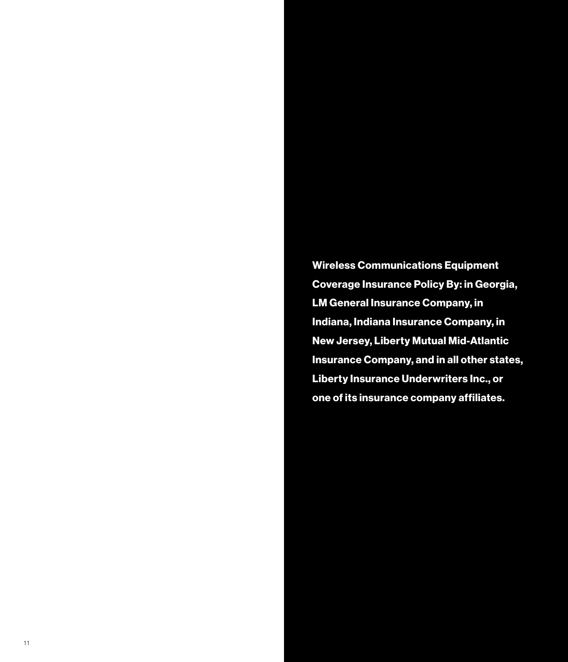Wireless Communications Equipment Coverage Insurance Policy By: in Georgia, LM General Insurance Company, in Indiana, Indiana Insurance Company, in New Jersey, Liberty Mutual Mid-Atlantic Insurance Company, and in all other states, Liberty Insurance Underwriters Inc., or one of its insurance company affiliates.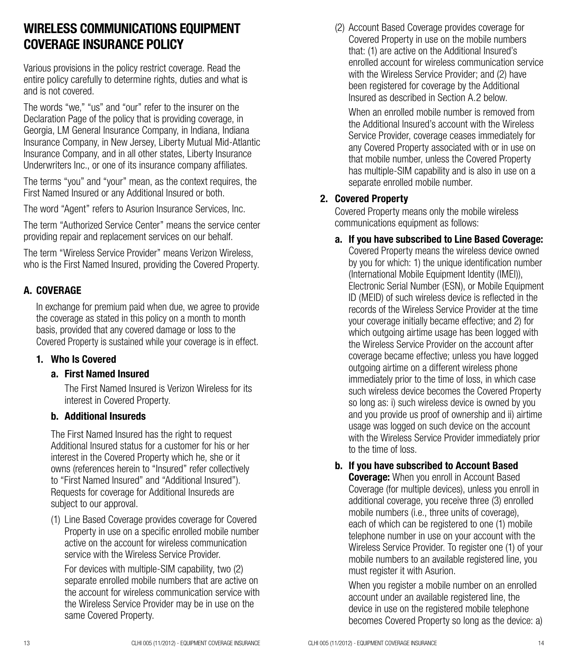## WIRELESS COMMUNICATIONS EQUIPMENT COVERAGE INSURANCE POLICY

Various provisions in the policy restrict coverage. Read the entire policy carefully to determine rights, duties and what is and is not covered.

The words "we," "us" and "our" refer to the insurer on the Declaration Page of the policy that is providing coverage, in Georgia, LM General Insurance Company, in Indiana, Indiana Insurance Company, in New Jersey, Liberty Mutual Mid-Atlantic Insurance Company, and in all other states, Liberty Insurance Underwriters Inc., or one of its insurance company affiliates.

The terms "you" and "your" mean, as the context requires, the First Named Insured or any Additional Insured or both.

The word "Agent" refers to Asurion Insurance Services, Inc.

The term "Authorized Service Center" means the service center providing repair and replacement services on our behalf.

The term "Wireless Service Provider" means Verizon Wireless, who is the First Named Insured, providing the Covered Property.

## A. COVERAGE

In exchange for premium paid when due, we agree to provide the coverage as stated in this policy on a month to month basis, provided that any covered damage or loss to the Covered Property is sustained while your coverage is in effect.

## 1. Who Is Covered

#### a. First Named Insured

The First Named Insured is Verizon Wireless for its interest in Covered Property.

#### b. Additional Insureds

The First Named Insured has the right to request Additional Insured status for a customer for his or her interest in the Covered Property which he, she or it owns (references herein to "Insured" refer collectively to "First Named Insured" and "Additional Insured"). Requests for coverage for Additional Insureds are subject to our approval.

(1) Line Based Coverage provides coverage for Covered Property in use on a specific enrolled mobile number active on the account for wireless communication service with the Wireless Service Provider.

For devices with multiple-SIM capability, two (2) separate enrolled mobile numbers that are active on the account for wireless communication service with the Wireless Service Provider may be in use on the same Covered Property.

(2) Account Based Coverage provides coverage for Covered Property in use on the mobile numbers that: (1) are active on the Additional Insured's enrolled account for wireless communication service with the Wireless Service Provider; and (2) have been registered for coverage by the Additional Insured as described in Section A.2 below.

When an enrolled mobile number is removed from the Additional Insured's account with the Wireless Service Provider, coverage ceases immediately for any Covered Property associated with or in use on that mobile number, unless the Covered Property has multiple-SIM capability and is also in use on a separate enrolled mobile number.

## 2. Covered Property

Covered Property means only the mobile wireless communications equipment as follows:

#### a. If you have subscribed to Line Based Coverage:

Covered Property means the wireless device owned by you for which: 1) the unique identification number (International Mobile Equipment Identity (IMEI)), Electronic Serial Number (ESN), or Mobile Equipment ID (MEID) of such wireless device is reflected in the records of the Wireless Service Provider at the time your coverage initially became effective; and 2) for which outgoing airtime usage has been logged with the Wireless Service Provider on the account after coverage became effective; unless you have logged outgoing airtime on a different wireless phone immediately prior to the time of loss, in which case such wireless device becomes the Covered Property so long as: i) such wireless device is owned by you and you provide us proof of ownership and ii) airtime usage was logged on such device on the account with the Wireless Service Provider immediately prior to the time of loss.

## b. If you have subscribed to Account Based

**Coverage:** When you enroll in Account Based Coverage (for multiple devices), unless you enroll in additional coverage, you receive three (3) enrolled mobile numbers (i.e., three units of coverage), each of which can be registered to one (1) mobile telephone number in use on your account with the Wireless Service Provider. To register one (1) of your mobile numbers to an available registered line, you must register it with Asurion.

When you register a mobile number on an enrolled account under an available registered line, the device in use on the registered mobile telephone becomes Covered Property so long as the device: a)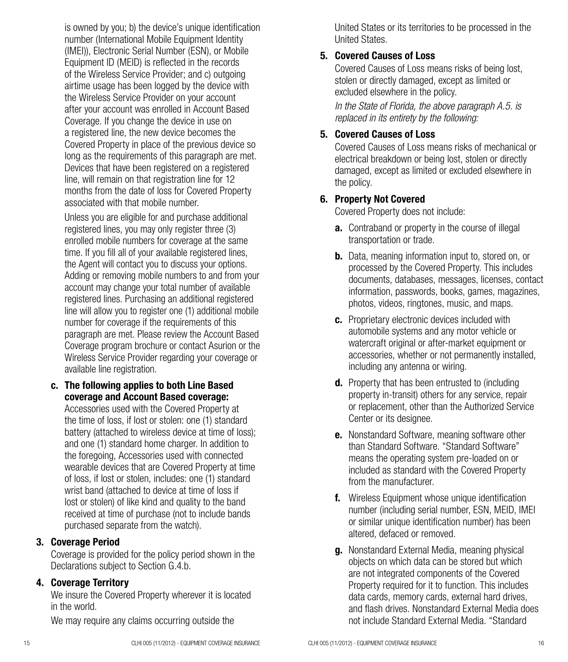is owned by you; b) the device's unique identification number (International Mobile Equipment Identity (IMEI)), Electronic Serial Number (ESN), or Mobile Equipment ID (MEID) is reflected in the records of the Wireless Service Provider; and c) outgoing airtime usage has been logged by the device with the Wireless Service Provider on your account after your account was enrolled in Account Based Coverage. If you change the device in use on a registered line, the new device becomes the Covered Property in place of the previous device so long as the requirements of this paragraph are met. Devices that have been registered on a registered line, will remain on that registration line for 12 months from the date of loss for Covered Property associated with that mobile number.

Unless you are eligible for and purchase additional registered lines, you may only register three (3) enrolled mobile numbers for coverage at the same time. If you fill all of your available registered lines, the Agent will contact you to discuss your options. Adding or removing mobile numbers to and from your account may change your total number of available registered lines. Purchasing an additional registered line will allow you to register one (1) additional mobile number for coverage if the requirements of this paragraph are met. Please review the Account Based Coverage program brochure or contact Asurion or the Wireless Service Provider regarding your coverage or available line registration.

c. The following applies to both Line Based coverage and Account Based coverage: Accessories used with the Covered Property at the time of loss, if lost or stolen: one (1) standard battery (attached to wireless device at time of loss); and one (1) standard home charger. In addition to the foregoing, Accessories used with connected wearable devices that are Covered Property at time of loss, if lost or stolen, includes: one (1) standard wrist band (attached to device at time of loss if lost or stolen) of like kind and quality to the band received at time of purchase (not to include bands purchased separate from the watch).

#### 3. Coverage Period

Coverage is provided for the policy period shown in the Declarations subject to Section G.4.b.

#### 4. Coverage Territory

We insure the Covered Property wherever it is located in the world.

We may require any claims occurring outside the

United States or its territories to be processed in the United States.

#### 5. Covered Causes of Loss

Covered Causes of Loss means risks of being lost, stolen or directly damaged, except as limited or excluded elsewhere in the policy.

*In the State of Florida, the above paragraph A.5. is replaced in its entirety by the following:*

### 5. Covered Causes of Loss

Covered Causes of Loss means risks of mechanical or electrical breakdown or being lost, stolen or directly damaged, except as limited or excluded elsewhere in the policy.

#### 6. Property Not Covered

Covered Property does not include:

- **a.** Contraband or property in the course of illegal transportation or trade.
- **b.** Data, meaning information input to, stored on, or processed by the Covered Property. This includes documents, databases, messages, licenses, contact information, passwords, books, games, magazines, photos, videos, ringtones, music, and maps.
- c. Proprietary electronic devices included with automobile systems and any motor vehicle or watercraft original or after-market equipment or accessories, whether or not permanently installed, including any antenna or wiring.
- **d.** Property that has been entrusted to (including property in-transit) others for any service, repair or replacement, other than the Authorized Service Center or its designee.
- e. Nonstandard Software, meaning software other than Standard Software. "Standard Software" means the operating system pre-loaded on or included as standard with the Covered Property from the manufacturer.
- f. Wireless Equipment whose unique identification number (including serial number, ESN, MEID, IMEI or similar unique identification number) has been altered, defaced or removed.
- g. Nonstandard External Media, meaning physical objects on which data can be stored but which are not integrated components of the Covered Property required for it to function. This includes data cards, memory cards, external hard drives, and flash drives. Nonstandard External Media does not include Standard External Media. "Standard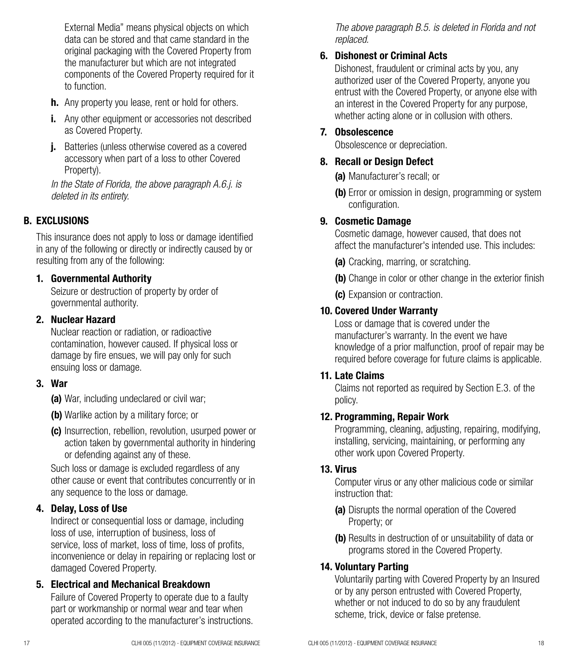External Media" means physical objects on which data can be stored and that came standard in the original packaging with the Covered Property from the manufacturer but which are not integrated components of the Covered Property required for it to function.

- **h.** Any property you lease, rent or hold for others.
- **i.** Any other equipment or accessories not described as Covered Property.
- **i.** Batteries (unless otherwise covered as a covered accessory when part of a loss to other Covered Property).

*In the State of Florida, the above paragraph A.6.j. is deleted in its entirety.*

## B. EXCLUSIONS

This insurance does not apply to loss or damage identified in any of the following or directly or indirectly caused by or resulting from any of the following:

## 1. Governmental Authority

Seizure or destruction of property by order of governmental authority.

#### 2. Nuclear Hazard

Nuclear reaction or radiation, or radioactive contamination, however caused. If physical loss or damage by fire ensues, we will pay only for such ensuing loss or damage.

## 3. War

- (a) War, including undeclared or civil war:
- (b) Warlike action by a military force; or
- (c) Insurrection, rebellion, revolution, usurped power or action taken by governmental authority in hindering or defending against any of these.

Such loss or damage is excluded regardless of any other cause or event that contributes concurrently or in any sequence to the loss or damage.

## 4. Delay, Loss of Use

Indirect or consequential loss or damage, including loss of use, interruption of business, loss of service, loss of market, loss of time, loss of profits, inconvenience or delay in repairing or replacing lost or damaged Covered Property.

## 5. Electrical and Mechanical Breakdown

Failure of Covered Property to operate due to a faulty part or workmanship or normal wear and tear when operated according to the manufacturer's instructions. *The above paragraph B.5. is deleted in Florida and not replaced.*

## 6. Dishonest or Criminal Acts

Dishonest, fraudulent or criminal acts by you, any authorized user of the Covered Property, anyone you entrust with the Covered Property, or anyone else with an interest in the Covered Property for any purpose, whether acting alone or in collusion with others.

### 7. Obsolescence

Obsolescence or depreciation.

#### 8. Recall or Design Defect

(a) Manufacturer's recall: or

(b) Error or omission in design, programming or system configuration.

#### 9. Cosmetic Damage

Cosmetic damage, however caused, that does not affect the manufacturer's intended use. This includes:

(a) Cracking, marring, or scratching.

(b) Change in color or other change in the exterior finish

(c) Expansion or contraction.

## 10. Covered Under Warranty

Loss or damage that is covered under the manufacturer's warranty. In the event we have knowledge of a prior malfunction, proof of repair may be required before coverage for future claims is applicable.

## 11. Late Claims

Claims not reported as required by Section E.3. of the policy.

## 12. Programming, Repair Work

Programming, cleaning, adjusting, repairing, modifying, installing, servicing, maintaining, or performing any other work upon Covered Property.

## 13. Virus

Computer virus or any other malicious code or similar instruction that:

- (a) Disrupts the normal operation of the Covered Property; or
- (b) Results in destruction of or unsuitability of data or programs stored in the Covered Property.

## 14. Voluntary Parting

Voluntarily parting with Covered Property by an Insured or by any person entrusted with Covered Property, whether or not induced to do so by any fraudulent scheme, trick, device or false pretense.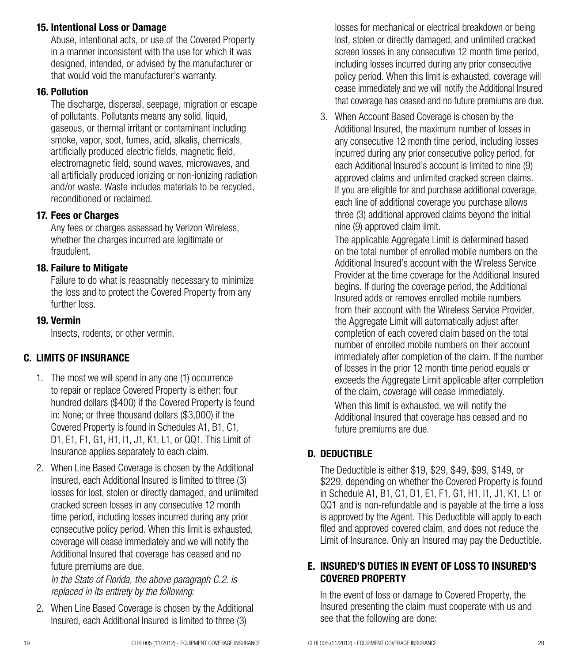#### 15. Intentional Loss or Damage

Abuse, intentional acts, or use of the Covered Property in a manner inconsistent with the use for which it was designed, intended, or advised by the manufacturer or that would void the manufacturer's warranty.

#### 16. Pollution

The discharge, dispersal, seepage, migration or escape of pollutants. Pollutants means any solid, liquid, gaseous, or thermal irritant or contaminant including smoke, vapor, soot, fumes, acid, alkalis, chemicals, artificially produced electric fields, magnetic field, electromagnetic field, sound waves, microwaves, and all artificially produced ionizing or non-ionizing radiation and/or waste. Waste includes materials to be recycled, reconditioned or reclaimed.

## 17. Fees or Charges

Any fees or charges assessed by Verizon Wireless, whether the charges incurred are legitimate or fraudulent.

## 18. Failure to Mitigate

Failure to do what is reasonably necessary to minimize the loss and to protect the Covered Property from any further loss.

## 19. Vermin

Insects, rodents, or other vermin.

## C. LIMITS OF INSURANCE

- 1. The most we will spend in any one (1) occurrence to repair or replace Covered Property is either: four hundred dollars (\$400) if the Covered Property is found in: None; or three thousand dollars (\$3,000) if the Covered Property is found in Schedules A1, B1, C1, D1, E1, F1, G1, H1, I1, J1, K1, L1, or QQ1. This Limit of Insurance applies separately to each claim.
- 2. When Line Based Coverage is chosen by the Additional Insured, each Additional Insured is limited to three (3) losses for lost, stolen or directly damaged, and unlimited cracked screen losses in any consecutive 12 month time period, including losses incurred during any prior consecutive policy period. When this limit is exhausted, coverage will cease immediately and we will notify the Additional Insured that coverage has ceased and no future premiums are due.

*In the State of Florida, the above paragraph C.2. is replaced in its entirety by the following:* 

2. When Line Based Coverage is chosen by the Additional Insured, each Additional Insured is limited to three (3)

losses for mechanical or electrical breakdown or being lost, stolen or directly damaged, and unlimited cracked screen losses in any consecutive 12 month time period, including losses incurred during any prior consecutive policy period. When this limit is exhausted, coverage will cease immediately and we will notify the Additional Insured that coverage has ceased and no future premiums are due.

3. When Account Based Coverage is chosen by the Additional Insured, the maximum number of losses in any consecutive 12 month time period, including losses incurred during any prior consecutive policy period, for each Additional Insured's account is limited to nine (9) approved claims and unlimited cracked screen claims. If you are eligible for and purchase additional coverage, each line of additional coverage you purchase allows three (3) additional approved claims beyond the initial nine (9) approved claim limit.

The applicable Aggregate Limit is determined based on the total number of enrolled mobile numbers on the Additional Insured's account with the Wireless Service Provider at the time coverage for the Additional Insured begins. If during the coverage period, the Additional Insured adds or removes enrolled mobile numbers from their account with the Wireless Service Provider, the Aggregate Limit will automatically adjust after completion of each covered claim based on the total number of enrolled mobile numbers on their account immediately after completion of the claim. If the number of losses in the prior 12 month time period equals or exceeds the Aggregate Limit applicable after completion of the claim, coverage will cease immediately. When this limit is exhausted, we will notify the Additional Insured that coverage has ceased and no future premiums are due.

## D. DEDUCTIBLE

The Deductible is either \$19, \$29, \$49, \$99, \$149, or \$229, depending on whether the Covered Property is found in Schedule A1, B1, C1, D1, E1, F1, G1, H1, I1, J1, K1, L1 or QQ1 and is non-refundable and is payable at the time a loss is approved by the Agent. This Deductible will apply to each filed and approved covered claim, and does not reduce the Limit of Insurance. Only an Insured may pay the Deductible.

## E. INSURED'S DUTIES IN EVENT OF LOSS TO INSURED'S COVERED PROPERTY

In the event of loss or damage to Covered Property, the Insured presenting the claim must cooperate with us and see that the following are done: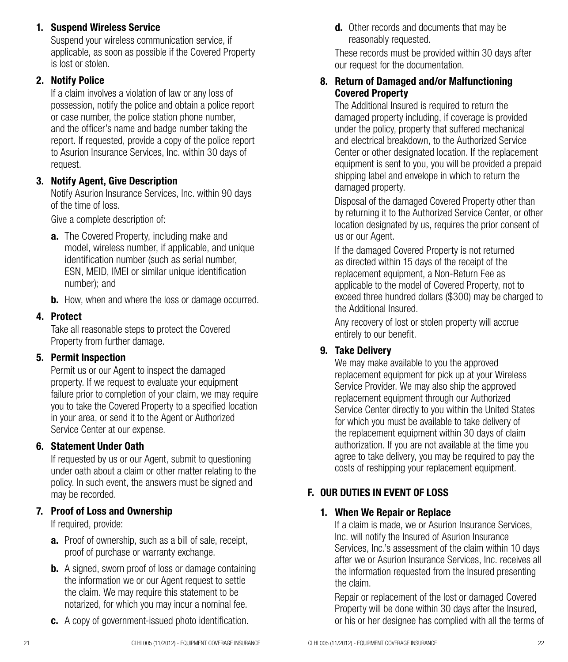## 1. Suspend Wireless Service

Suspend your wireless communication service, if applicable, as soon as possible if the Covered Property is lost or stolen.

## 2. Notify Police

If a claim involves a violation of law or any loss of possession, notify the police and obtain a police report or case number, the police station phone number, and the officer's name and badge number taking the report. If requested, provide a copy of the police report to Asurion Insurance Services, Inc. within 30 days of request.

## 3. Notify Agent, Give Description

Notify Asurion Insurance Services, Inc. within 90 days of the time of loss.

Give a complete description of:

- **a.** The Covered Property, including make and model, wireless number, if applicable, and unique identification number (such as serial number, ESN, MEID, IMEI or similar unique identification number); and
- **b.** How, when and where the loss or damage occurred.

## 4. Protect

Take all reasonable steps to protect the Covered Property from further damage.

## 5. Permit Inspection

Permit us or our Agent to inspect the damaged property. If we request to evaluate your equipment failure prior to completion of your claim, we may require you to take the Covered Property to a specified location in your area, or send it to the Agent or Authorized Service Center at our expense.

## 6. Statement Under Oath

If requested by us or our Agent, submit to questioning under oath about a claim or other matter relating to the policy. In such event, the answers must be signed and may be recorded.

## 7. Proof of Loss and Ownership

If required, provide:

- a. Proof of ownership, such as a bill of sale, receipt. proof of purchase or warranty exchange.
- **b.** A signed, sworn proof of loss or damage containing the information we or our Agent request to settle the claim. We may require this statement to be notarized, for which you may incur a nominal fee.
- c. A copy of government-issued photo identification.

**d.** Other records and documents that may be reasonably requested.

These records must be provided within 30 days after our request for the documentation.

#### 8. Return of Damaged and/or Malfunctioning Covered Property

The Additional Insured is required to return the damaged property including, if coverage is provided under the policy, property that suffered mechanical and electrical breakdown, to the Authorized Service Center or other designated location. If the replacement equipment is sent to you, you will be provided a prepaid shipping label and envelope in which to return the damaged property.

Disposal of the damaged Covered Property other than by returning it to the Authorized Service Center, or other location designated by us, requires the prior consent of us or our Agent.

If the damaged Covered Property is not returned as directed within 15 days of the receipt of the replacement equipment, a Non-Return Fee as applicable to the model of Covered Property, not to exceed three hundred dollars (\$300) may be charged to the Additional Insured.

Any recovery of lost or stolen property will accrue entirely to our benefit.

## 9. Take Delivery

We may make available to you the approved replacement equipment for pick up at your Wireless Service Provider. We may also ship the approved replacement equipment through our Authorized Service Center directly to you within the United States for which you must be available to take delivery of the replacement equipment within 30 days of claim authorization. If you are not available at the time you agree to take delivery, you may be required to pay the costs of reshipping your replacement equipment.

## F. OUR DUTIES IN EVENT OF LOSS

## 1. When We Repair or Replace

If a claim is made, we or Asurion Insurance Services, Inc. will notify the Insured of Asurion Insurance Services, Inc.'s assessment of the claim within 10 days after we or Asurion Insurance Services, Inc. receives all the information requested from the Insured presenting the claim.

Repair or replacement of the lost or damaged Covered Property will be done within 30 days after the Insured, or his or her designee has complied with all the terms of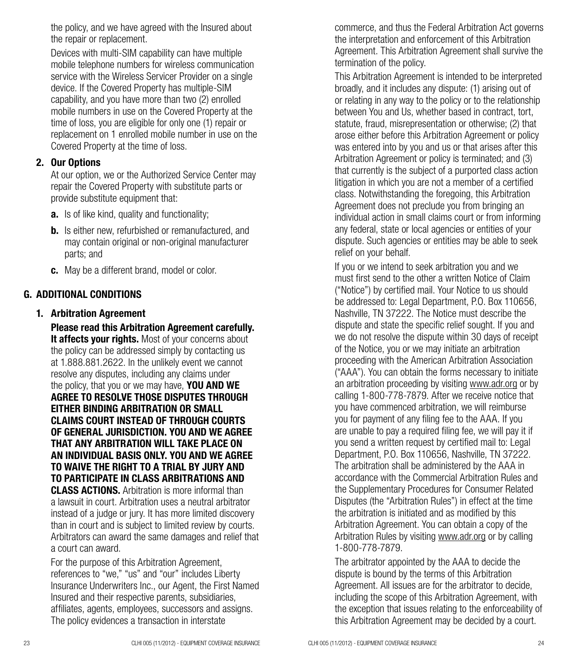the policy, and we have agreed with the Insured about the repair or replacement.

Devices with multi-SIM capability can have multiple mobile telephone numbers for wireless communication service with the Wireless Servicer Provider on a single device. If the Covered Property has multiple-SIM capability, and you have more than two (2) enrolled mobile numbers in use on the Covered Property at the time of loss, you are eligible for only one (1) repair or replacement on 1 enrolled mobile number in use on the Covered Property at the time of loss.

### 2. Our Options

At our option, we or the Authorized Service Center may repair the Covered Property with substitute parts or provide substitute equipment that:

- a. Is of like kind, quality and functionality;
- **b.** Is either new, refurbished or remanufactured, and may contain original or non-original manufacturer parts; and
- c. May be a different brand, model or color.

## G. ADDITIONAL CONDITIONS

## 1. Arbitration Agreement

Please read this Arbitration Agreement carefully. It affects your rights. Most of your concerns about the policy can be addressed simply by contacting us at 1.888.881.2622. In the unlikely event we cannot resolve any disputes, including any claims under the policy, that you or we may have. YOU AND WE AGREE TO RESOLVE THOSE DISPUTES THROUGH EITHER BINDING ARBITRATION OR SMALL CLAIMS COURT INSTEAD OF THROUGH COURTS OF GENERAL JURISDICTION. YOU AND WE AGREE THAT ANY ARBITRATION WILL TAKE PLACE ON AN INDIVIDUAL BASIS ONLY. YOU AND WE AGREE TO WAIVE THE RIGHT TO A TRIAL BY JURY AND TO PARTICIPATE IN CLASS ARBITRATIONS AND CLASS ACTIONS. Arbitration is more informal than a lawsuit in court. Arbitration uses a neutral arbitrator instead of a judge or jury. It has more limited discovery than in court and is subject to limited review by courts. Arbitrators can award the same damages and relief that a court can award.

For the purpose of this Arbitration Agreement, references to "we," "us" and "our" includes Liberty Insurance Underwriters Inc., our Agent, the First Named Insured and their respective parents, subsidiaries, affiliates, agents, employees, successors and assigns. The policy evidences a transaction in interstate

commerce, and thus the Federal Arbitration Act governs the interpretation and enforcement of this Arbitration Agreement. This Arbitration Agreement shall survive the termination of the policy.

This Arbitration Agreement is intended to be interpreted broadly, and it includes any dispute: (1) arising out of or relating in any way to the policy or to the relationship between You and Us, whether based in contract, tort, statute, fraud, misrepresentation or otherwise; (2) that arose either before this Arbitration Agreement or policy was entered into by you and us or that arises after this Arbitration Agreement or policy is terminated; and (3) that currently is the subject of a purported class action litigation in which you are not a member of a certified class. Notwithstanding the foregoing, this Arbitration Agreement does not preclude you from bringing an individual action in small claims court or from informing any federal, state or local agencies or entities of your dispute. Such agencies or entities may be able to seek relief on your behalf.

If you or we intend to seek arbitration you and we must first send to the other a written Notice of Claim ("Notice") by certified mail. Your Notice to us should be addressed to: Legal Department, P.O. Box 110656, Nashville, TN 37222. The Notice must describe the dispute and state the specific relief sought. If you and we do not resolve the dispute within 30 days of receipt of the Notice, you or we may initiate an arbitration proceeding with the American Arbitration Association ("AAA"). You can obtain the forms necessary to initiate an arbitration proceeding by visiting www.adr.org or by calling 1-800-778-7879. After we receive notice that you have commenced arbitration, we will reimburse you for payment of any filing fee to the AAA. If you are unable to pay a required filing fee, we will pay it if you send a written request by certified mail to: Legal Department, P.O. Box 110656, Nashville, TN 37222. The arbitration shall be administered by the AAA in accordance with the Commercial Arbitration Rules and the Supplementary Procedures for Consumer Related Disputes (the "Arbitration Rules") in effect at the time the arbitration is initiated and as modified by this Arbitration Agreement. You can obtain a copy of the Arbitration Rules by visiting www.adr.org or by calling 1-800-778-7879.

The arbitrator appointed by the AAA to decide the dispute is bound by the terms of this Arbitration Agreement. All issues are for the arbitrator to decide, including the scope of this Arbitration Agreement, with the exception that issues relating to the enforceability of this Arbitration Agreement may be decided by a court.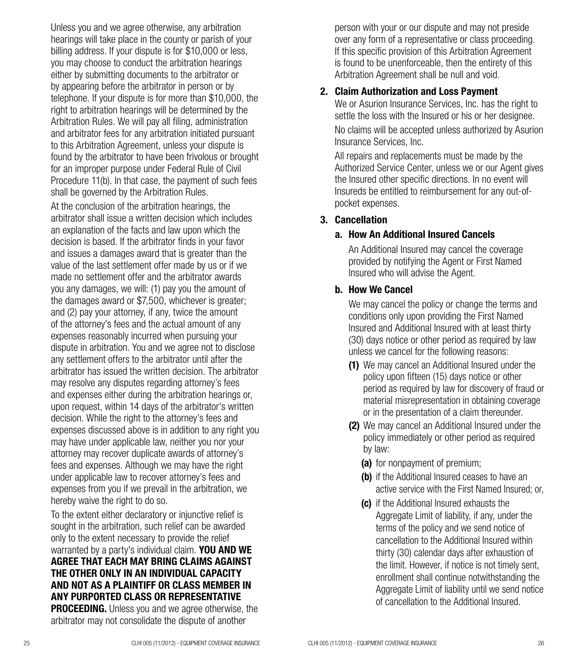Unless you and we agree otherwise, any arbitration hearings will take place in the county or parish of your billing address. If your dispute is for \$10,000 or less. you may choose to conduct the arbitration hearings either by submitting documents to the arbitrator or by appearing before the arbitrator in person or by telephone. If your dispute is for more than \$10,000, the right to arbitration hearings will be determined by the Arbitration Rules. We will pay all filing, administration and arbitrator fees for any arbitration initiated pursuant to this Arbitration Agreement, unless your dispute is found by the arbitrator to have been frivolous or brought for an improper purpose under Federal Rule of Civil Procedure 11(b). In that case, the payment of such fees shall be governed by the Arbitration Rules.

At the conclusion of the arbitration hearings, the arbitrator shall issue a written decision which includes an explanation of the facts and law upon which the decision is based. If the arbitrator finds in your favor and issues a damages award that is greater than the value of the last settlement offer made by us or if we made no settlement offer and the arbitrator awards you any damages, we will: (1) pay you the amount of the damages award or \$7,500, whichever is greater; and (2) pay your attorney, if any, twice the amount of the attorney's fees and the actual amount of any expenses reasonably incurred when pursuing your dispute in arbitration. You and we agree not to disclose any settlement offers to the arbitrator until after the arbitrator has issued the written decision. The arbitrator may resolve any disputes regarding attorney's fees and expenses either during the arbitration hearings or, upon request, within 14 days of the arbitrator's written decision. While the right to the attorney's fees and expenses discussed above is in addition to any right you may have under applicable law, neither you nor your attorney may recover duplicate awards of attorney's fees and expenses. Although we may have the right under applicable law to recover attorney's fees and expenses from you if we prevail in the arbitration, we hereby waive the right to do so.

To the extent either declaratory or injunctive relief is sought in the arbitration, such relief can be awarded only to the extent necessary to provide the relief warranted by a party's individual claim. YOU AND WE AGREE THAT EACH MAY BRING CLAIMS AGAINST THE OTHER ONLY IN AN INDIVIDUAL CAPACITY AND NOT AS A PLAINTIFF OR CLASS MEMBER IN ANY PURPORTED CLASS OR REPRESENTATIVE **PROCEEDING.** Unless you and we agree otherwise, the arbitrator may not consolidate the dispute of another

person with your or our dispute and may not preside over any form of a representative or class proceeding. If this specific provision of this Arbitration Agreement is found to be unenforceable, then the entirety of this Arbitration Agreement shall be null and void.

#### 2. Claim Authorization and Loss Payment

We or Asurion Insurance Services, Inc. has the right to settle the loss with the Insured or his or her designee. No claims will be accepted unless authorized by Asurion Insurance Services, Inc.

All repairs and replacements must be made by the Authorized Service Center, unless we or our Agent gives the Insured other specific directions. In no event will Insureds be entitled to reimbursement for any out-ofpocket expenses.

#### 3. Cancellation

#### a. How An Additional Insured Cancels

An Additional Insured may cancel the coverage provided by notifying the Agent or First Named Insured who will advise the Agent.

#### b. How We Cancel

We may cancel the policy or change the terms and conditions only upon providing the First Named Insured and Additional Insured with at least thirty (30) days notice or other period as required by law unless we cancel for the following reasons:

- (1) We may cancel an Additional Insured under the policy upon fifteen (15) days notice or other period as required by law for discovery of fraud or material misrepresentation in obtaining coverage or in the presentation of a claim thereunder.
- (2) We may cancel an Additional Insured under the policy immediately or other period as required by law:
	- (a) for nonpayment of premium;
	- (b) if the Additional Insured ceases to have an active service with the First Named Insured; or,
	- (c) if the Additional Insured exhausts the Aggregate Limit of liability, if any, under the terms of the policy and we send notice of cancellation to the Additional Insured within thirty (30) calendar days after exhaustion of the limit. However, if notice is not timely sent, enrollment shall continue notwithstanding the Aggregate Limit of liability until we send notice of cancellation to the Additional Insured.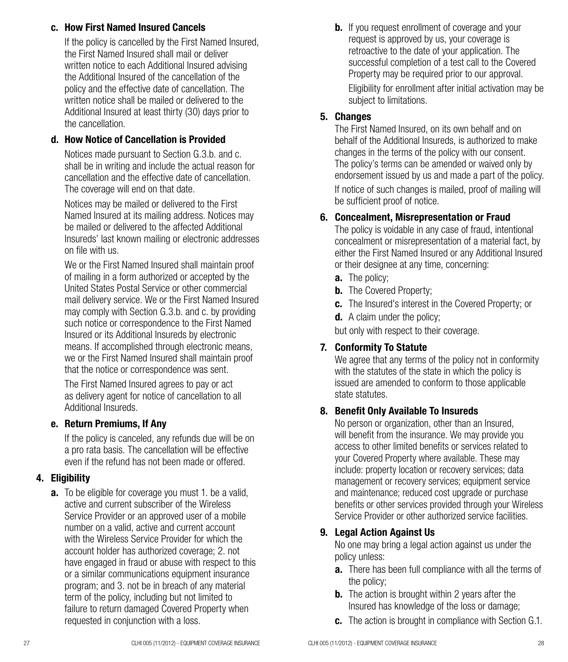#### c. How First Named Insured Cancels

If the policy is cancelled by the First Named Insured, the First Named Insured shall mail or deliver written notice to each Additional Insured advising the Additional Insured of the cancellation of the policy and the effective date of cancellation. The written notice shall be mailed or delivered to the Additional Insured at least thirty (30) days prior to the cancellation.

## d. How Notice of Cancellation is Provided

Notices made pursuant to Section G.3.b. and c. shall be in writing and include the actual reason for cancellation and the effective date of cancellation. The coverage will end on that date.

Notices may be mailed or delivered to the First Named Insured at its mailing address. Notices may be mailed or delivered to the affected Additional Insureds' last known mailing or electronic addresses on file with us.

We or the First Named Insured shall maintain proof of mailing in a form authorized or accepted by the United States Postal Service or other commercial mail delivery service. We or the First Named Insured may comply with Section G.3.b. and c. by providing such notice or correspondence to the First Named Insured or its Additional Insureds by electronic means. If accomplished through electronic means, we or the First Named Insured shall maintain proof that the notice or correspondence was sent.

The First Named Insured agrees to pay or act as delivery agent for notice of cancellation to all Additional Insureds.

## e. Return Premiums, If Any

If the policy is canceled, any refunds due will be on a pro rata basis. The cancellation will be effective even if the refund has not been made or offered

## 4. Eligibility

**a.** To be eligible for coverage you must 1. be a valid, active and current subscriber of the Wireless Service Provider or an approved user of a mobile number on a valid, active and current account with the Wireless Service Provider for which the account holder has authorized coverage; 2. not have engaged in fraud or abuse with respect to this or a similar communications equipment insurance program; and 3. not be in breach of any material term of the policy, including but not limited to failure to return damaged Covered Property when requested in conjunction with a loss.

**b.** If you request enrollment of coverage and your request is approved by us, your coverage is retroactive to the date of your application. The successful completion of a test call to the Covered Property may be required prior to our approval.

Eligibility for enrollment after initial activation may be subject to limitations.

## 5. Changes

The First Named Insured, on its own behalf and on behalf of the Additional Insureds, is authorized to make changes in the terms of the policy with our consent. The policy's terms can be amended or waived only by endorsement issued by us and made a part of the policy.

If notice of such changes is mailed, proof of mailing will be sufficient proof of notice.

## 6. Concealment, Misrepresentation or Fraud

The policy is voidable in any case of fraud, intentional concealment or misrepresentation of a material fact, by either the First Named Insured or any Additional Insured or their designee at any time, concerning:

- a. The policy:
- **b.** The Covered Property:
- **c.** The Insured's interest in the Covered Property; or
- d. A claim under the policy;

but only with respect to their coverage.

## 7. Conformity To Statute

We agree that any terms of the policy not in conformity with the statutes of the state in which the policy is issued are amended to conform to those applicable state statutes.

## 8. Benefit Only Available To Insureds

No person or organization, other than an Insured, will benefit from the insurance. We may provide you access to other limited benefits or services related to your Covered Property where available. These may include: property location or recovery services; data management or recovery services; equipment service and maintenance; reduced cost upgrade or purchase benefits or other services provided through your Wireless Service Provider or other authorized service facilities.

## 9. Legal Action Against Us

No one may bring a legal action against us under the policy unless:

- a. There has been full compliance with all the terms of the policy;
- **b.** The action is brought within 2 years after the Insured has knowledge of the loss or damage;
- c. The action is brought in compliance with Section G.1.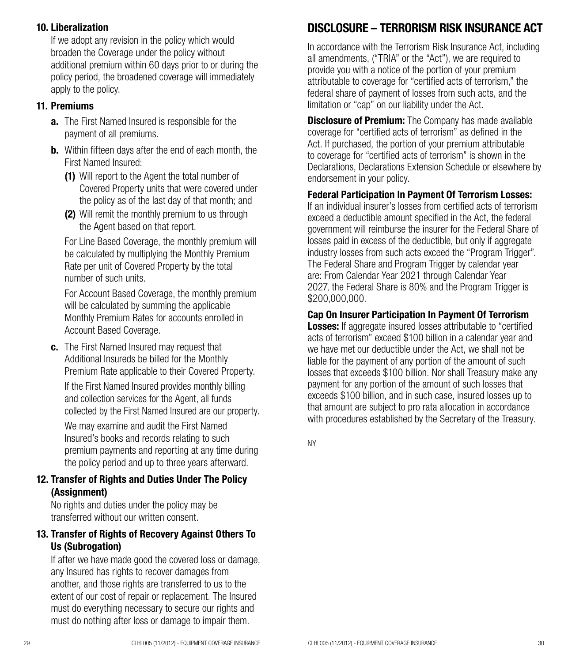## 10. Liberalization

If we adopt any revision in the policy which would broaden the Coverage under the policy without additional premium within 60 days prior to or during the policy period, the broadened coverage will immediately apply to the policy.

#### 11. Premiums

- **a.** The First Named Insured is responsible for the payment of all premiums.
- **b.** Within fifteen days after the end of each month, the First Named Insured:
	- (1) Will report to the Agent the total number of Covered Property units that were covered under the policy as of the last day of that month; and
	- (2) Will remit the monthly premium to us through the Agent based on that report.

For Line Based Coverage, the monthly premium will be calculated by multiplying the Monthly Premium Rate per unit of Covered Property by the total number of such units.

For Account Based Coverage, the monthly premium will be calculated by summing the applicable Monthly Premium Rates for accounts enrolled in Account Based Coverage.

c. The First Named Insured may request that Additional Insureds be billed for the Monthly Premium Rate applicable to their Covered Property.

If the First Named Insured provides monthly billing and collection services for the Agent, all funds collected by the First Named Insured are our property.

We may examine and audit the First Named Insured's books and records relating to such premium payments and reporting at any time during the policy period and up to three years afterward.

## 12. Transfer of Rights and Duties Under The Policy (Assignment)

No rights and duties under the policy may be transferred without our written consent.

## 13. Transfer of Rights of Recovery Against Others To Us (Subrogation)

If after we have made good the covered loss or damage, any Insured has rights to recover damages from another, and those rights are transferred to us to the extent of our cost of repair or replacement. The Insured must do everything necessary to secure our rights and must do nothing after loss or damage to impair them.

## DISCLOSURE – TERRORISM RISK INSURANCE ACT

In accordance with the Terrorism Risk Insurance Act, including all amendments, ("TRIA" or the "Act"), we are required to provide you with a notice of the portion of your premium attributable to coverage for "certified acts of terrorism," the federal share of payment of losses from such acts, and the limitation or "cap" on our liability under the Act.

**Disclosure of Premium:** The Company has made available coverage for "certified acts of terrorism" as defined in the Act. If purchased, the portion of your premium attributable to coverage for "certified acts of terrorism" is shown in the Declarations, Declarations Extension Schedule or elsewhere by endorsement in your policy.

#### Federal Participation In Payment Of Terrorism Losses:

If an individual insurer's losses from certified acts of terrorism exceed a deductible amount specified in the Act, the federal government will reimburse the insurer for the Federal Share of losses paid in excess of the deductible, but only if aggregate industry losses from such acts exceed the "Program Trigger". The Federal Share and Program Trigger by calendar year are: From Calendar Year 2021 through Calendar Year 2027, the Federal Share is 80% and the Program Trigger is \$200,000,000.

Cap On Insurer Participation In Payment Of Terrorism

Losses: If aggregate insured losses attributable to "certified acts of terrorism" exceed \$100 billion in a calendar year and we have met our deductible under the Act, we shall not be liable for the payment of any portion of the amount of such losses that exceeds \$100 billion. Nor shall Treasury make any payment for any portion of the amount of such losses that exceeds \$100 billion, and in such case, insured losses up to that amount are subject to pro rata allocation in accordance with procedures established by the Secretary of the Treasury.

NY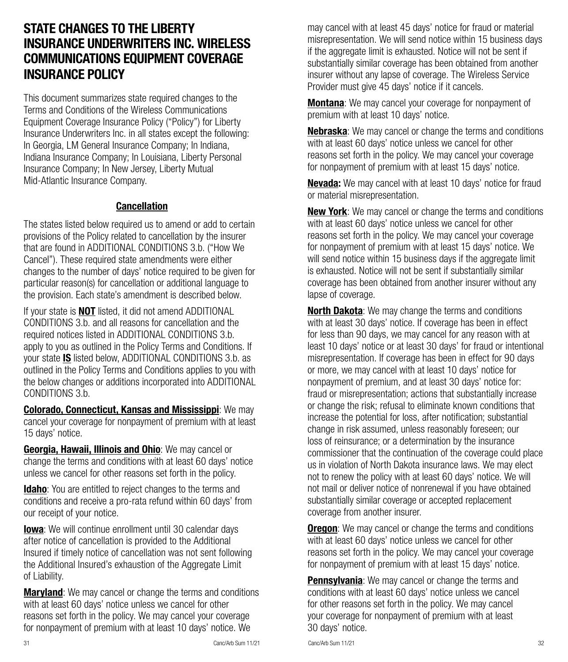## STATE CHANGES TO THE LIBERTY INSURANCE UNDERWRITERS INC. WIRELESS COMMUNICATIONS EQUIPMENT COVERAGE INSURANCE POLICY

This document summarizes state required changes to the Terms and Conditions of the Wireless Communications Equipment Coverage Insurance Policy ("Policy") for Liberty Insurance Underwriters Inc. in all states except the following: In Georgia, LM General Insurance Company; In Indiana, Indiana Insurance Company; In Louisiana, Liberty Personal Insurance Company; In New Jersey, Liberty Mutual Mid-Atlantic Insurance Company.

## Cancellation

The states listed below required us to amend or add to certain provisions of the Policy related to cancellation by the insurer that are found in ADDITIONAL CONDITIONS 3.b. ("How We Cancel"). These required state amendments were either changes to the number of days' notice required to be given for particular reason(s) for cancellation or additional language to the provision. Each state's amendment is described below.

If your state is **NOT** listed, it did not amend ADDITIONAL CONDITIONS 3.b. and all reasons for cancellation and the required notices listed in ADDITIONAL CONDITIONS 3.b. apply to you as outlined in the Policy Terms and Conditions. If your state IS listed below, ADDITIONAL CONDITIONS 3.b. as outlined in the Policy Terms and Conditions applies to you with the below changes or additions incorporated into ADDITIONAL CONDITIONS 3.b.

Colorado, Connecticut, Kansas and Mississippi: We may cancel your coverage for nonpayment of premium with at least 15 days' notice.

Georgia, Hawaii, Illinois and Ohio: We may cancel or change the terms and conditions with at least 60 days' notice unless we cancel for other reasons set forth in the policy.

**Idaho:** You are entitled to reject changes to the terms and conditions and receive a pro-rata refund within 60 days' from our receipt of your notice.

**Iowa**: We will continue enrollment until 30 calendar days after notice of cancellation is provided to the Additional Insured if timely notice of cancellation was not sent following the Additional Insured's exhaustion of the Aggregate Limit of Liability.

**Maryland**: We may cancel or change the terms and conditions with at least 60 days' notice unless we cancel for other reasons set forth in the policy. We may cancel your coverage for nonpayment of premium with at least 10 days' notice. We

may cancel with at least 45 days' notice for fraud or material misrepresentation. We will send notice within 15 business days if the aggregate limit is exhausted. Notice will not be sent if substantially similar coverage has been obtained from another insurer without any lapse of coverage. The Wireless Service Provider must give 45 days' notice if it cancels.

Montana: We may cancel your coverage for nonpayment of premium with at least 10 days' notice.

Nebraska: We may cancel or change the terms and conditions with at least 60 days' notice unless we cancel for other reasons set forth in the policy. We may cancel your coverage for nonpayment of premium with at least 15 days' notice.

Nevada: We may cancel with at least 10 days' notice for fraud or material misrepresentation.

**New York:** We may cancel or change the terms and conditions with at least 60 days' notice unless we cancel for other reasons set forth in the policy. We may cancel your coverage for nonpayment of premium with at least 15 days' notice. We will send notice within 15 business days if the aggregate limit is exhausted. Notice will not be sent if substantially similar coverage has been obtained from another insurer without any lapse of coverage.

**North Dakota:** We may change the terms and conditions with at least 30 days' notice. If coverage has been in effect for less than 90 days, we may cancel for any reason with at least 10 days' notice or at least 30 days' for fraud or intentional misrepresentation. If coverage has been in effect for 90 days or more, we may cancel with at least 10 days' notice for nonpayment of premium, and at least 30 days' notice for: fraud or misrepresentation; actions that substantially increase or change the risk; refusal to eliminate known conditions that increase the potential for loss, after notification; substantial change in risk assumed, unless reasonably foreseen; our loss of reinsurance; or a determination by the insurance commissioner that the continuation of the coverage could place us in violation of North Dakota insurance laws. We may elect not to renew the policy with at least 60 days' notice. We will not mail or deliver notice of nonrenewal if you have obtained substantially similar coverage or accepted replacement coverage from another insurer.

**Oregon:** We may cancel or change the terms and conditions with at least 60 days' notice unless we cancel for other reasons set forth in the policy. We may cancel your coverage for nonpayment of premium with at least 15 days' notice.

**Pennsylvania:** We may cancel or change the terms and conditions with at least 60 days' notice unless we cancel for other reasons set forth in the policy. We may cancel your coverage for nonpayment of premium with at least 30 days' notice.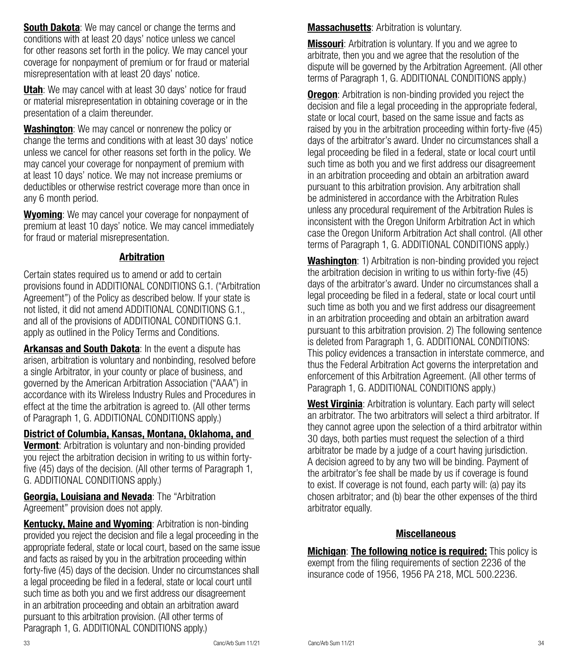**South Dakota:** We may cancel or change the terms and conditions with at least 20 days' notice unless we cancel for other reasons set forth in the policy. We may cancel your coverage for nonpayment of premium or for fraud or material misrepresentation with at least 20 days' notice.

Utah: We may cancel with at least 30 days' notice for fraud or material misrepresentation in obtaining coverage or in the presentation of a claim thereunder.

Washington: We may cancel or nonrenew the policy or change the terms and conditions with at least 30 days' notice unless we cancel for other reasons set forth in the policy. We may cancel your coverage for nonpayment of premium with at least 10 days' notice. We may not increase premiums or deductibles or otherwise restrict coverage more than once in any 6 month period.

Wyoming: We may cancel your coverage for nonpayment of premium at least 10 days' notice. We may cancel immediately for fraud or material misrepresentation.

#### Arbitration

Certain states required us to amend or add to certain provisions found in ADDITIONAL CONDITIONS G.1. ("Arbitration Agreement") of the Policy as described below. If your state is not listed, it did not amend ADDITIONAL CONDITIONS G.1., and all of the provisions of ADDITIONAL CONDITIONS G.1. apply as outlined in the Policy Terms and Conditions.

Arkansas and South Dakota: In the event a dispute has arisen, arbitration is voluntary and nonbinding, resolved before a single Arbitrator, in your county or place of business, and governed by the American Arbitration Association ("AAA") in accordance with its Wireless Industry Rules and Procedures in effect at the time the arbitration is agreed to. (All other terms of Paragraph 1, G. ADDITIONAL CONDITIONS apply.)

District of Columbia, Kansas, Montana, Oklahoma, and

**Vermont:** Arbitration is voluntary and non-binding provided you reject the arbitration decision in writing to us within fortyfive (45) days of the decision. (All other terms of Paragraph 1, G. ADDITIONAL CONDITIONS apply.)

Georgia, Louisiana and Nevada: The "Arbitration" Agreement" provision does not apply.

Kentucky, Maine and Wyoming: Arbitration is non-binding provided you reject the decision and file a legal proceeding in the appropriate federal, state or local court, based on the same issue and facts as raised by you in the arbitration proceeding within forty-five (45) days of the decision. Under no circumstances shall a legal proceeding be filed in a federal, state or local court until such time as both you and we first address our disagreement in an arbitration proceeding and obtain an arbitration award pursuant to this arbitration provision. (All other terms of Paragraph 1, G. ADDITIONAL CONDITIONS apply.)

**Massachusetts:** Arbitration is voluntary.

**Missouri:** Arbitration is voluntary. If you and we agree to arbitrate, then you and we agree that the resolution of the dispute will be governed by the Arbitration Agreement. (All other terms of Paragraph 1, G. ADDITIONAL CONDITIONS apply.)

**Oregon:** Arbitration is non-binding provided you reject the decision and file a legal proceeding in the appropriate federal, state or local court, based on the same issue and facts as raised by you in the arbitration proceeding within forty-five (45) days of the arbitrator's award. Under no circumstances shall a legal proceeding be filed in a federal, state or local court until such time as both you and we first address our disagreement in an arbitration proceeding and obtain an arbitration award pursuant to this arbitration provision. Any arbitration shall be administered in accordance with the Arbitration Rules unless any procedural requirement of the Arbitration Rules is inconsistent with the Oregon Uniform Arbitration Act in which case the Oregon Uniform Arbitration Act shall control. (All other terms of Paragraph 1, G. ADDITIONAL CONDITIONS apply.)

Washington: 1) Arbitration is non-binding provided you reject the arbitration decision in writing to us within forty-five (45) days of the arbitrator's award. Under no circumstances shall a legal proceeding be filed in a federal, state or local court until such time as both you and we first address our disagreement in an arbitration proceeding and obtain an arbitration award pursuant to this arbitration provision. 2) The following sentence is deleted from Paragraph 1, G. ADDITIONAL CONDITIONS: This policy evidences a transaction in interstate commerce, and thus the Federal Arbitration Act governs the interpretation and enforcement of this Arbitration Agreement. (All other terms of Paragraph 1, G. ADDITIONAL CONDITIONS apply.)

West Virginia: Arbitration is voluntary. Each party will select an arbitrator. The two arbitrators will select a third arbitrator. If they cannot agree upon the selection of a third arbitrator within 30 days, both parties must request the selection of a third arbitrator be made by a judge of a court having jurisdiction. A decision agreed to by any two will be binding. Payment of the arbitrator's fee shall be made by us if coverage is found to exist. If coverage is not found, each party will: (a) pay its chosen arbitrator; and (b) bear the other expenses of the third arbitrator equally.

## **Miscellaneous**

**Michigan: The following notice is required:** This policy is exempt from the filing requirements of section 2236 of the insurance code of 1956, 1956 PA 218, MCL 500.2236.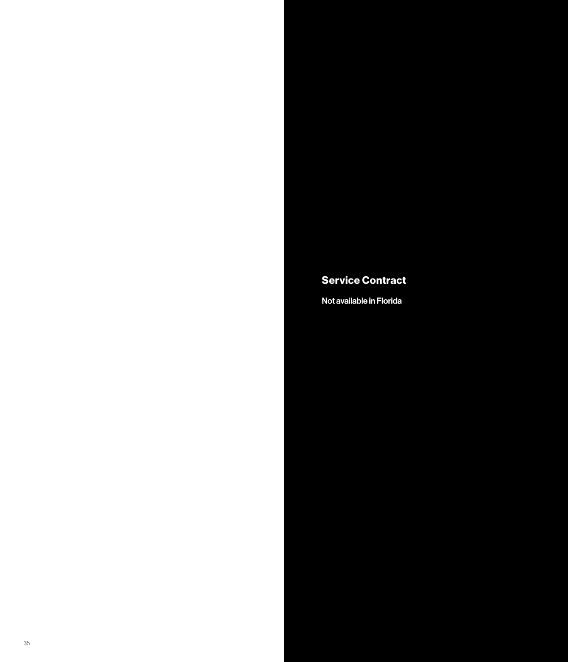## Service Contract

Not available in Florida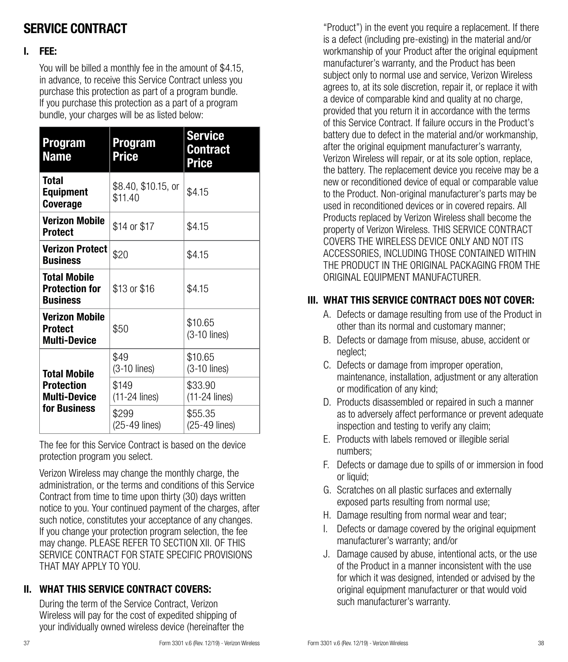## SERVICE CONTRACT

#### I. FEE:

You will be billed a monthly fee in the amount of \$4.15, in advance, to receive this Service Contract unless you purchase this protection as part of a program bundle. If you purchase this protection as a part of a program bundle, your charges will be as listed below:

| <b>Program</b><br><b>Name</b>                                            | Program<br>Price               | <b>Service</b><br><b>Contract</b><br><b>Price</b> |
|--------------------------------------------------------------------------|--------------------------------|---------------------------------------------------|
| <b>Total</b><br><b>Equipment</b><br><b>Coverage</b>                      | \$8.40, \$10.15, or<br>\$11.40 | \$4.15                                            |
| Verizon Mobile<br><b>Protect</b>                                         | \$14 or \$17                   | \$4.15                                            |
| <b>Verizon Protect</b><br><b>Business</b>                                | \$20                           | \$4.15                                            |
| <b>Total Mobile</b><br><b>Protection for</b><br><b>Business</b>          | \$13 or \$16                   | \$4.15                                            |
| <b>Verizon Mobile</b><br><b>Protect</b><br><b>Multi-Device</b>           | \$50                           | \$10.65<br>$(3-10$ lines)                         |
| Total Mobile<br><b>Protection</b><br><b>Multi-Device</b><br>for Business | \$49<br>$(3-10$ lines)         | \$10.65<br>$(3-10$ lines)                         |
|                                                                          | \$149<br>(11-24 lines)         | \$33.90<br>$(11-24$ lines)                        |
|                                                                          | \$299<br>(25-49 lines)         | \$55.35<br>(25-49 lines)                          |

The fee for this Service Contract is based on the device protection program you select.

Verizon Wireless may change the monthly charge, the administration, or the terms and conditions of this Service Contract from time to time upon thirty (30) days written notice to you. Your continued payment of the charges, after such notice, constitutes your acceptance of any changes. If you change your protection program selection, the fee may change. PLEASE REFER TO SECTION XII. OF THIS SERVICE CONTRACT FOR STATE SPECIFIC PROVISIONS THAT MAY APPLY TO YOU.

## II. WHAT THIS SERVICE CONTRACT COVERS:

During the term of the Service Contract, Verizon Wireless will pay for the cost of expedited shipping of your individually owned wireless device (hereinafter the "Product") in the event you require a replacement. If there is a defect (including pre-existing) in the material and/or workmanship of your Product after the original equipment manufacturer's warranty, and the Product has been subject only to normal use and service, Verizon Wireless agrees to, at its sole discretion, repair it, or replace it with a device of comparable kind and quality at no charge, provided that you return it in accordance with the terms of this Service Contract. If failure occurs in the Product's battery due to defect in the material and/or workmanship, after the original equipment manufacturer's warranty, Verizon Wireless will repair, or at its sole option, replace, the battery. The replacement device you receive may be a new or reconditioned device of equal or comparable value to the Product. Non-original manufacturer's parts may be used in reconditioned devices or in covered repairs. All Products replaced by Verizon Wireless shall become the property of Verizon Wireless. THIS SERVICE CONTRACT COVERS THE WIRELESS DEVICE ONLY AND NOT ITS ACCESSORIES, INCLUDING THOSE CONTAINED WITHIN THE PRODUCT IN THE ORIGINAL PACKAGING FROM THE ORIGINAL EQUIPMENT MANUFACTURER.

## III. WHAT THIS SERVICE CONTRACT DOES NOT COVER:

- A. Defects or damage resulting from use of the Product in other than its normal and customary manner;
- B. Defects or damage from misuse, abuse, accident or neglect;
- C. Defects or damage from improper operation, maintenance, installation, adjustment or any alteration or modification of any kind;
- D. Products disassembled or repaired in such a manner as to adversely affect performance or prevent adequate inspection and testing to verify any claim;
- E. Products with labels removed or illegible serial numbers;
- F. Defects or damage due to spills of or immersion in food or liquid:
- G. Scratches on all plastic surfaces and externally exposed parts resulting from normal use;
- H. Damage resulting from normal wear and tear;
- I. Defects or damage covered by the original equipment manufacturer's warranty; and/or
- J. Damage caused by abuse, intentional acts, or the use of the Product in a manner inconsistent with the use for which it was designed, intended or advised by the original equipment manufacturer or that would void such manufacturer's warranty.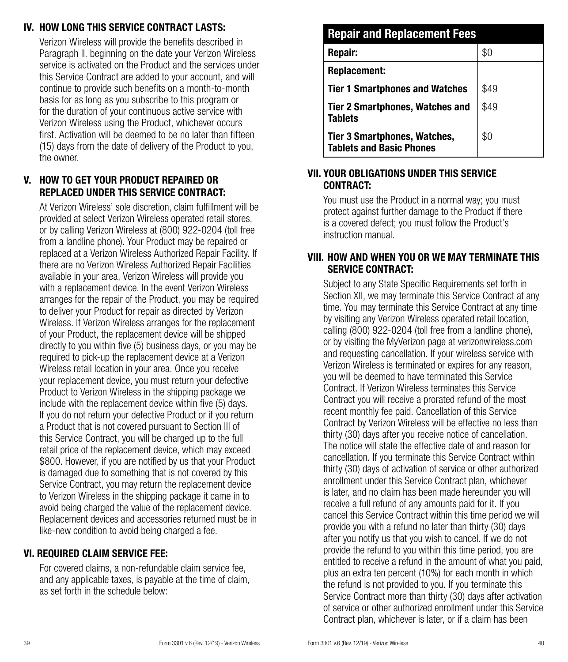## IV. HOW LONG THIS SERVICE CONTRACT LASTS:

Verizon Wireless will provide the benefits described in Paragraph ll. beginning on the date your Verizon Wireless service is activated on the Product and the services under this Service Contract are added to your account, and will continue to provide such benefits on a month-to-month basis for as long as you subscribe to this program or for the duration of your continuous active service with Verizon Wireless using the Product, whichever occurs first. Activation will be deemed to be no later than fifteen (15) days from the date of delivery of the Product to you, the owner.

## V. HOW TO GET YOUR PRODUCT REPAIRED OR REPLACED UNDER THIS SERVICE CONTRACT:

At Verizon Wireless' sole discretion, claim fulfillment will be provided at select Verizon Wireless operated retail stores, or by calling Verizon Wireless at (800) 922-0204 (toll free from a landline phone). Your Product may be repaired or replaced at a Verizon Wireless Authorized Repair Facility. If there are no Verizon Wireless Authorized Repair Facilities available in your area, Verizon Wireless will provide you with a replacement device. In the event Verizon Wireless arranges for the repair of the Product, you may be required to deliver your Product for repair as directed by Verizon Wireless. If Verizon Wireless arranges for the replacement of your Product, the replacement device will be shipped directly to you within five (5) business days, or you may be required to pick-up the replacement device at a Verizon Wireless retail location in your area. Once you receive your replacement device, you must return your defective Product to Verizon Wireless in the shipping package we include with the replacement device within five (5) days. If you do not return your defective Product or if you return a Product that is not covered pursuant to Section III of this Service Contract, you will be charged up to the full retail price of the replacement device, which may exceed \$800. However, if you are notified by us that your Product is damaged due to something that is not covered by this Service Contract, you may return the replacement device to Verizon Wireless in the shipping package it came in to avoid being charged the value of the replacement device. Replacement devices and accessories returned must be in like-new condition to avoid being charged a fee.

## VI. REQUIRED CLAIM SERVICE FEE:

For covered claims, a non-refundable claim service fee, and any applicable taxes, is payable at the time of claim, as set forth in the schedule below:

## Repair and Replacement Fees **Repair:**  $\qquad \qquad$  \$0 Replacement: Tier 1 Smartphones and Watches  $\frac{1}{3}49$ Tier 2 Smartphones, Watches and **Tablets** \$49 Tier 3 Smartphones, Watches, Tablets and Basic Phones  $$0$

#### VII. YOUR OBLIGATIONS UNDER THIS SERVICE CONTRACT:

You must use the Product in a normal way; you must protect against further damage to the Product if there is a covered defect; you must follow the Product's instruction manual.

## VIII. HOW AND WHEN YOU OR WE MAY TERMINATE THIS SERVICE CONTRACT:

Subject to any State Specific Requirements set forth in Section XII, we may terminate this Service Contract at any time. You may terminate this Service Contract at any time by visiting any Verizon Wireless operated retail location, calling (800) 922-0204 (toll free from a landline phone), or by visiting the MyVerizon page at verizonwireless.com and requesting cancellation. If your wireless service with Verizon Wireless is terminated or expires for any reason, you will be deemed to have terminated this Service Contract. If Verizon Wireless terminates this Service Contract you will receive a prorated refund of the most recent monthly fee paid. Cancellation of this Service Contract by Verizon Wireless will be effective no less than thirty (30) days after you receive notice of cancellation. The notice will state the effective date of and reason for cancellation. If you terminate this Service Contract within thirty (30) days of activation of service or other authorized enrollment under this Service Contract plan, whichever is later, and no claim has been made hereunder you will receive a full refund of any amounts paid for it. If you cancel this Service Contract within this time period we will provide you with a refund no later than thirty (30) days after you notify us that you wish to cancel. If we do not provide the refund to you within this time period, you are entitled to receive a refund in the amount of what you paid, plus an extra ten percent (10%) for each month in which the refund is not provided to you. If you terminate this Service Contract more than thirty (30) days after activation of service or other authorized enrollment under this Service Contract plan, whichever is later, or if a claim has been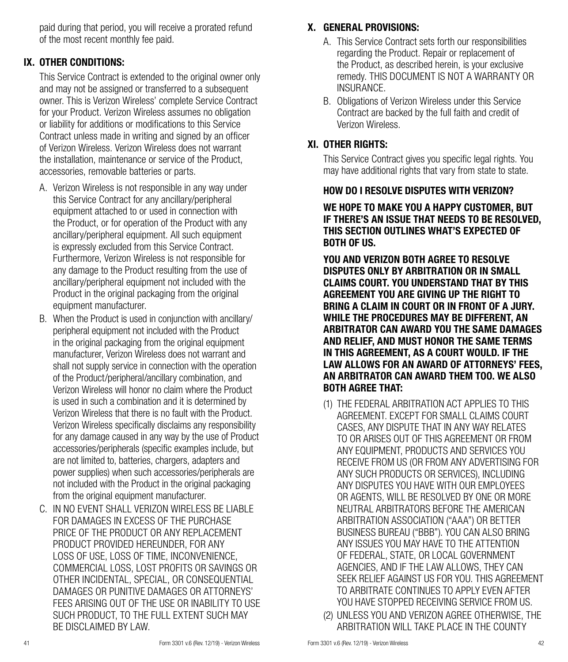paid during that period, you will receive a prorated refund of the most recent monthly fee paid.

## IX. OTHER CONDITIONS:

This Service Contract is extended to the original owner only and may not be assigned or transferred to a subsequent owner. This is Verizon Wireless' complete Service Contract for your Product. Verizon Wireless assumes no obligation or liability for additions or modifications to this Service Contract unless made in writing and signed by an officer of Verizon Wireless. Verizon Wireless does not warrant the installation, maintenance or service of the Product, accessories, removable batteries or parts.

- A. Verizon Wireless is not responsible in any way under this Service Contract for any ancillary/peripheral equipment attached to or used in connection with the Product, or for operation of the Product with any ancillary/peripheral equipment. All such equipment is expressly excluded from this Service Contract. Furthermore, Verizon Wireless is not responsible for any damage to the Product resulting from the use of ancillary/peripheral equipment not included with the Product in the original packaging from the original equipment manufacturer.
- B. When the Product is used in conjunction with ancillary/ peripheral equipment not included with the Product in the original packaging from the original equipment manufacturer, Verizon Wireless does not warrant and shall not supply service in connection with the operation of the Product/peripheral/ancillary combination, and Verizon Wireless will honor no claim where the Product is used in such a combination and it is determined by Verizon Wireless that there is no fault with the Product. Verizon Wireless specifically disclaims any responsibility for any damage caused in any way by the use of Product accessories/peripherals (specific examples include, but are not limited to, batteries, chargers, adapters and power supplies) when such accessories/peripherals are not included with the Product in the original packaging from the original equipment manufacturer.
- C. IN NO EVENT SHALL VERIZON WIRELESS BE LIABLE FOR DAMAGES IN EXCESS OF THE PURCHASE PRICE OF THE PRODUCT OR ANY REPLACEMENT PRODUCT PROVIDED HEREUNDER, FOR ANY LOSS OF USE, LOSS OF TIME, INCONVENIENCE, COMMERCIAL LOSS, LOST PROFITS OR SAVINGS OR OTHER INCIDENTAL, SPECIAL, OR CONSEQUENTIAL DAMAGES OR PUNITIVE DAMAGES OR ATTORNEYS' FEES ARISING OUT OF THE USE OR INABILITY TO USE SUCH PRODUCT, TO THE FULL EXTENT SUCH MAY BE DISCLAIMED BY LAW.

## X. GENERAL PROVISIONS:

- A. This Service Contract sets forth our responsibilities regarding the Product. Repair or replacement of the Product, as described herein, is your exclusive remedy. THIS DOCUMENT IS NOT A WARRANTY OR INSURANCE.
- B. Obligations of Verizon Wireless under this Service Contract are backed by the full faith and credit of Verizon Wireless.

## XI. OTHER RIGHTS:

This Service Contract gives you specific legal rights. You may have additional rights that vary from state to state.

#### HOW DO I RESOLVE DISPUTES WITH VERIZON?

#### WE HOPE TO MAKE YOU A HAPPY CUSTOMER, BUT IF THERE'S AN ISSUE THAT NEEDS TO BE RESOLVED, THIS SECTION OUTLINES WHAT'S EXPECTED OF BOTH OF US.

YOU AND VERIZON BOTH AGREE TO RESOLVE DISPUTES ONLY BY ARBITRATION OR IN SMALL CLAIMS COURT. YOU UNDERSTAND THAT BY THIS AGREEMENT YOU ARE GIVING UP THE RIGHT TO BRING A CLAIM IN COURT OR IN FRONT OF A JURY. WHILE THE PROCEDURES MAY BE DIFFERENT, AN ARBITRATOR CAN AWARD YOU THE SAME DAMAGES AND RELIEF, AND MUST HONOR THE SAME TERMS IN THIS AGREEMENT, AS A COURT WOULD. IF THE LAW ALLOWS FOR AN AWARD OF ATTORNEYS' FEES, AN ARBITRATOR CAN AWARD THEM TOO. WE ALSO BOTH AGREE THAT:

- (1) THE FEDERAL ARBITRATION ACT APPLIES TO THIS AGREEMENT. EXCEPT FOR SMALL CLAIMS COURT CASES, ANY DISPUTE THAT IN ANY WAY RELATES TO OR ARISES OUT OF THIS AGREEMENT OR FROM ANY EQUIPMENT, PRODUCTS AND SERVICES YOU RECEIVE FROM US (OR FROM ANY ADVERTISING FOR ANY SUCH PRODUCTS OR SERVICES), INCLUDING ANY DISPUTES YOU HAVE WITH OUR EMPLOYEES OR AGENTS, WILL BE RESOLVED BY ONE OR MORE NEUTRAL ARBITRATORS BEFORE THE AMERICAN ARBITRATION ASSOCIATION ("AAA") OR BETTER BUSINESS BUREAU ("BBB"). YOU CAN ALSO BRING ANY ISSUES YOU MAY HAVE TO THE ATTENTION OF FEDERAL, STATE, OR LOCAL GOVERNMENT AGENCIES, AND IF THE LAW ALLOWS, THEY CAN SEEK RELIEF AGAINST US FOR YOU. THIS AGREEMENT TO ARBITRATE CONTINUES TO APPLY EVEN AFTER YOU HAVE STOPPED RECEIVING SERVICE FROM US.
- (2) UNLESS YOU AND VERIZON AGREE OTHERWISE, THE ARBITRATION WILL TAKE PLACE IN THE COUNTY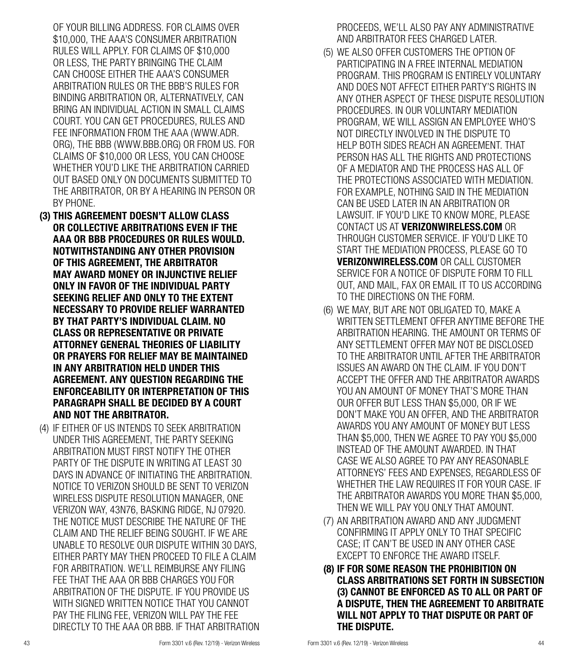OF YOUR BILLING ADDRESS. FOR CLAIMS OVER \$10,000, THE AAA'S CONSUMER ARBITRATION RULES WILL APPLY. FOR CLAIMS OF \$10,000 OR LESS, THE PARTY BRINGING THE CLAIM CAN CHOOSE EITHER THE AAA'S CONSUMER ARBITRATION RULES OR THE BBB'S RULES FOR BINDING ARBITRATION OR, ALTERNATIVELY, CAN BRING AN INDIVIDUAL ACTION IN SMALL CLAIMS COURT. YOU CAN GET PROCEDURES, RULES AND FEE INFORMATION FROM THE AAA (WWW.ADR. ORG), THE BBB (WWW.BBB.ORG) OR FROM US. FOR CLAIMS OF \$10,000 OR LESS, YOU CAN CHOOSE WHETHER YOU'D LIKE THE ARBITRATION CARRIED OUT BASED ONLY ON DOCUMENTS SUBMITTED TO THE ARBITRATOR, OR BY A HEARING IN PERSON OR BY PHONE.

- (3) THIS AGREEMENT DOESN'T ALLOW CLASS OR COLLECTIVE ARBITRATIONS EVEN IF THE AAA OR BBB PROCEDURES OR RULES WOULD. NOTWITHSTANDING ANY OTHER PROVISION OF THIS AGREEMENT, THE ARBITRATOR MAY AWARD MONEY OR INJUNCTIVE RELIEF ONLY IN FAVOR OF THE INDIVIDUAL PARTY SEEKING RELIEF AND ONLY TO THE EXTENT NECESSARY TO PROVIDE RELIEF WARRANTED BY THAT PARTY'S INDIVIDUAL CLAIM. NO CLASS OR REPRESENTATIVE OR PRIVATE ATTORNEY GENERAL THEORIES OF LIABILITY OR PRAYERS FOR RELIEF MAY BE MAINTAINED IN ANY ARBITRATION HELD UNDER THIS AGREEMENT. ANY QUESTION REGARDING THE ENFORCEABILITY OR INTERPRETATION OF THIS PARAGRAPH SHALL BE DECIDED BY A COURT AND NOT THE ARBITRATOR.
- (4) IF EITHER OF US INTENDS TO SEEK ARBITRATION UNDER THIS AGREEMENT, THE PARTY SEEKING ARBITRATION MUST FIRST NOTIFY THE OTHER PARTY OF THE DISPUTE IN WRITING AT LEAST 30 DAYS IN ADVANCE OF INITIATING THE ARBITRATION. NOTICE TO VERIZON SHOULD BE SENT TO VERIZON WIRELESS DISPUTE RESOLUTION MANAGER, ONE VERIZON WAY, 43N76, BASKING RIDGE, NJ 07920. THE NOTICE MUST DESCRIBE THE NATURE OF THE CLAIM AND THE RELIEF BEING SOUGHT. IF WE ARE UNABLE TO RESOLVE OUR DISPUTE WITHIN 30 DAYS, EITHER PARTY MAY THEN PROCEED TO FILE A CLAIM FOR ARBITRATION. WE'LL REIMBURSE ANY FILING FEE THAT THE AAA OR BBB CHARGES YOU FOR ARBITRATION OF THE DISPUTE. IF YOU PROVIDE US WITH SIGNED WRITTEN NOTICE THAT YOU CANNOT PAY THE FILING FEE, VERIZON WILL PAY THE FEE DIRECTLY TO THE AAA OR BBB. IF THAT ARBITRATION

PROCEEDS, WE'LL ALSO PAY ANY ADMINISTRATIVE AND ARBITRATOR FEES CHARGED LATER.

- (5) WE ALSO OFFER CUSTOMERS THE OPTION OF PARTICIPATING IN A FREE INTERNAL MEDIATION PROGRAM. THIS PROGRAM IS ENTIRELY VOLUNTARY AND DOES NOT AFFECT EITHER PARTY'S RIGHTS IN ANY OTHER ASPECT OF THESE DISPUTE RESOLUTION PROCEDURES. IN OUR VOLUNTARY MEDIATION PROGRAM, WE WILL ASSIGN AN EMPLOYEE WHO'S NOT DIRECTLY INVOLVED IN THE DISPUTE TO HELP BOTH SIDES REACH AN AGREEMENT. THAT PERSON HAS ALL THE RIGHTS AND PROTECTIONS OF A MEDIATOR AND THE PROCESS HAS ALL OF THE PROTECTIONS ASSOCIATED WITH MEDIATION. FOR EXAMPLE, NOTHING SAID IN THE MEDIATION CAN BE USED LATER IN AN ARBITRATION OR LAWSUIT. IF YOU'D LIKE TO KNOW MORE, PLEASE CONTACT US AT VERIZONWIRELESS.COM OR THROUGH CUSTOMER SERVICE. IF YOU'D LIKE TO START THE MEDIATION PROCESS, PLEASE GO TO VERIZONWIRELESS.COM OR CALL CUSTOMER SERVICE FOR A NOTICE OF DISPUTE FORM TO FILL OUT, AND MAIL, FAX OR EMAIL IT TO US ACCORDING TO THE DIRECTIONS ON THE FORM.
- (6) WE MAY, BUT ARE NOT OBLIGATED TO, MAKE A WRITTEN SETTLEMENT OFFER ANYTIME BEFORE THE ARBITRATION HEARING. THE AMOUNT OR TERMS OF ANY SETTLEMENT OFFER MAY NOT BE DISCLOSED TO THE ARBITRATOR UNTIL AFTER THE ARBITRATOR ISSUES AN AWARD ON THE CLAIM. IF YOU DON'T ACCEPT THE OFFER AND THE ARBITRATOR AWARDS YOU AN AMOUNT OF MONEY THAT'S MORE THAN OUR OFFER BUT LESS THAN \$5,000, OR IF WE DON'T MAKE YOU AN OFFER, AND THE ARBITRATOR AWARDS YOU ANY AMOUNT OF MONEY BUT LESS THAN \$5,000, THEN WE AGREE TO PAY YOU \$5,000 INSTEAD OF THE AMOUNT AWARDED. IN THAT CASE WE ALSO AGREE TO PAY ANY REASONABLE ATTORNEYS' FEES AND EXPENSES, REGARDLESS OF WHETHER THE LAW REQUIRES IT FOR YOUR CASE. IF THE ARBITRATOR AWARDS YOU MORE THAN \$5,000, THEN WE WILL PAY YOU ONLY THAT AMOUNT.
- (7) AN ARBITRATION AWARD AND ANY JUDGMENT CONFIRMING IT APPLY ONLY TO THAT SPECIFIC CASE; IT CAN'T BE USED IN ANY OTHER CASE EXCEPT TO ENFORCE THE AWARD ITSELF.
- (8) IF FOR SOME REASON THE PROHIBITION ON CLASS ARBITRATIONS SET FORTH IN SUBSECTION (3) CANNOT BE ENFORCED AS TO ALL OR PART OF A DISPUTE, THEN THE AGREEMENT TO ARBITRATE WILL NOT APPLY TO THAT DISPUTE OR PART OF THE DISPUTE.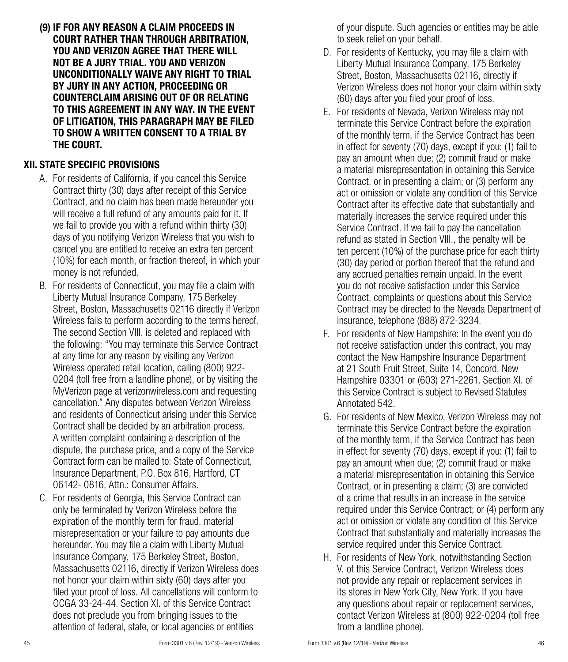(9) IF FOR ANY REASON A CLAIM PROCEEDS IN COURT RATHER THAN THROUGH ARBITRATION, YOU AND VERIZON AGREE THAT THERE WILL NOT BE A JURY TRIAL. YOU AND VERIZON UNCONDITIONALLY WAIVE ANY RIGHT TO TRIAL BY JURY IN ANY ACTION, PROCEEDING OR COUNTERCLAIM ARISING OUT OF OR RELATING TO THIS AGREEMENT IN ANY WAY. IN THE EVENT OF LITIGATION, THIS PARAGRAPH MAY BE FILED TO SHOW A WRITTEN CONSENT TO A TRIAL BY THE COURT.

## XII. STATE SPECIFIC PROVISIONS

- A. For residents of California, if you cancel this Service Contract thirty (30) days after receipt of this Service Contract, and no claim has been made hereunder you will receive a full refund of any amounts paid for it. If we fail to provide you with a refund within thirty (30) days of you notifying Verizon Wireless that you wish to cancel you are entitled to receive an extra ten percent (10%) for each month, or fraction thereof, in which your money is not refunded.
- B. For residents of Connecticut, you may file a claim with Liberty Mutual Insurance Company, 175 Berkeley Street, Boston, Massachusetts 02116 directly if Verizon Wireless fails to perform according to the terms hereof. The second Section VIII. is deleted and replaced with the following: "You may terminate this Service Contract at any time for any reason by visiting any Verizon Wireless operated retail location, calling (800) 922- 0204 (toll free from a landline phone), or by visiting the MyVerizon page at verizonwireless.com and requesting cancellation." Any disputes between Verizon Wireless and residents of Connecticut arising under this Service Contract shall be decided by an arbitration process. A written complaint containing a description of the dispute, the purchase price, and a copy of the Service Contract form can be mailed to: State of Connecticut, Insurance Department, P.O. Box 816, Hartford, CT 06142- 0816, Attn.: Consumer Affairs.
- C. For residents of Georgia, this Service Contract can only be terminated by Verizon Wireless before the expiration of the monthly term for fraud, material misrepresentation or your failure to pay amounts due hereunder. You may file a claim with Liberty Mutual Insurance Company, 175 Berkeley Street, Boston, Massachusetts 02116, directly if Verizon Wireless does not honor your claim within sixty (60) days after you filed your proof of loss. All cancellations will conform to OCGA 33-24-44. Section XI. of this Service Contract does not preclude you from bringing issues to the attention of federal, state, or local agencies or entities

of your dispute. Such agencies or entities may be able to seek relief on your behalf.

- D. For residents of Kentucky, you may file a claim with Liberty Mutual Insurance Company, 175 Berkeley Street, Boston, Massachusetts 02116, directly if Verizon Wireless does not honor your claim within sixty (60) days after you filed your proof of loss.
- E. For residents of Nevada, Verizon Wireless may not terminate this Service Contract before the expiration of the monthly term, if the Service Contract has been in effect for seventy (70) days, except if you: (1) fail to pay an amount when due; (2) commit fraud or make a material misrepresentation in obtaining this Service Contract, or in presenting a claim; or (3) perform any act or omission or violate any condition of this Service Contract after its effective date that substantially and materially increases the service required under this Service Contract. If we fail to pay the cancellation refund as stated in Section VIII., the penalty will be ten percent (10%) of the purchase price for each thirty (30) day period or portion thereof that the refund and any accrued penalties remain unpaid. In the event you do not receive satisfaction under this Service Contract, complaints or questions about this Service Contract may be directed to the Nevada Department of Insurance, telephone (888) 872-3234.
- F. For residents of New Hampshire: In the event you do not receive satisfaction under this contract, you may contact the New Hampshire Insurance Department at 21 South Fruit Street, Suite 14, Concord, New Hampshire 03301 or (603) 271-2261. Section XI. of this Service Contract is subject to Revised Statutes Annotated 542.
- G. For residents of New Mexico, Verizon Wireless may not terminate this Service Contract before the expiration of the monthly term, if the Service Contract has been in effect for seventy (70) days, except if you: (1) fail to pay an amount when due; (2) commit fraud or make a material misrepresentation in obtaining this Service Contract, or in presenting a claim; (3) are convicted of a crime that results in an increase in the service required under this Service Contract; or (4) perform any act or omission or violate any condition of this Service Contract that substantially and materially increases the service required under this Service Contract.
- H. For residents of New York, notwithstanding Section V. of this Service Contract, Verizon Wireless does not provide any repair or replacement services in its stores in New York City, New York. If you have any questions about repair or replacement services, contact Verizon Wireless at (800) 922-0204 (toll free from a landline phone).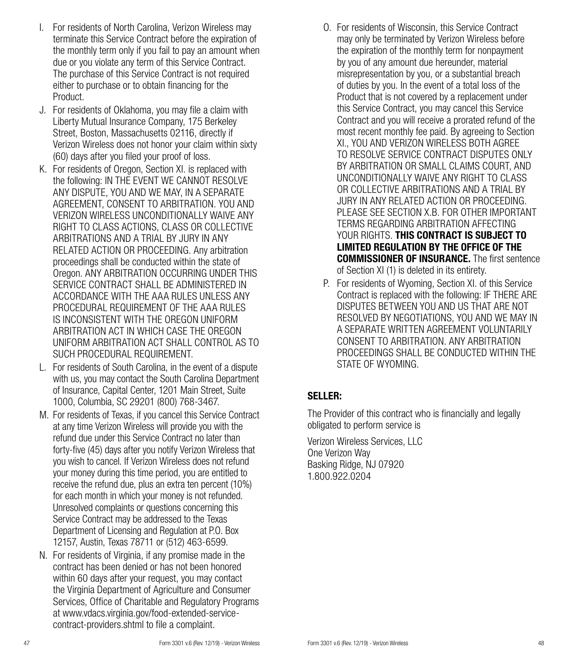- I. For residents of North Carolina, Verizon Wireless may terminate this Service Contract before the expiration of the monthly term only if you fail to pay an amount when due or you violate any term of this Service Contract. The purchase of this Service Contract is not required either to purchase or to obtain financing for the Product.
- J. For residents of Oklahoma, you may file a claim with Liberty Mutual Insurance Company, 175 Berkeley Street, Boston, Massachusetts 02116, directly if Verizon Wireless does not honor your claim within sixty (60) days after you filed your proof of loss.
- K. For residents of Oregon, Section XI. is replaced with the following: IN THE EVENT WE CANNOT RESOLVE ANY DISPUTE, YOU AND WE MAY, IN A SEPARATE AGREEMENT, CONSENT TO ARBITRATION. YOU AND VERIZON WIRELESS UNCONDITIONALLY WAIVE ANY RIGHT TO CLASS ACTIONS, CLASS OR COLLECTIVE ARBITRATIONS AND A TRIAL BY JURY IN ANY RELATED ACTION OR PROCEEDING. Any arbitration proceedings shall be conducted within the state of Oregon. ANY ARBITRATION OCCURRING UNDER THIS SERVICE CONTRACT SHALL BE ADMINISTERED IN ACCORDANCE WITH THE AAA RULES UNLESS ANY PROCEDURAL REQUIREMENT OF THE AAA RULES IS INCONSISTENT WITH THE OREGON UNIFORM ARBITRATION ACT IN WHICH CASE THE OREGON UNIFORM ARBITRATION ACT SHALL CONTROL AS TO SUCH PROCEDURAL REQUIREMENT.
- L. For residents of South Carolina, in the event of a dispute with us, you may contact the South Carolina Department of Insurance, Capital Center, 1201 Main Street, Suite 1000, Columbia, SC 29201 (800) 768-3467.
- M. For residents of Texas, if you cancel this Service Contract at any time Verizon Wireless will provide you with the refund due under this Service Contract no later than forty-five (45) days after you notify Verizon Wireless that you wish to cancel. If Verizon Wireless does not refund your money during this time period, you are entitled to receive the refund due, plus an extra ten percent (10%) for each month in which your money is not refunded. Unresolved complaints or questions concerning this Service Contract may be addressed to the Texas Department of Licensing and Regulation at P.O. Box 12157, Austin, Texas 78711 or (512) 463-6599.
- N. For residents of Virginia, if any promise made in the contract has been denied or has not been honored within 60 days after your request, you may contact the Virginia Department of Agriculture and Consumer Services, Office of Charitable and Regulatory Programs at www.vdacs.virginia.gov/food-extended-servicecontract-providers.shtml to file a complaint.
- O. For residents of Wisconsin, this Service Contract may only be terminated by Verizon Wireless before the expiration of the monthly term for nonpayment by you of any amount due hereunder, material misrepresentation by you, or a substantial breach of duties by you. In the event of a total loss of the Product that is not covered by a replacement under this Service Contract, you may cancel this Service Contract and you will receive a prorated refund of the most recent monthly fee paid. By agreeing to Section XI., YOU AND VERIZON WIRELESS BOTH AGREE TO RESOLVE SERVICE CONTRACT DISPUTES ONLY BY ARBITRATION OR SMALL CLAIMS COURT, AND UNCONDITIONALLY WAIVE ANY RIGHT TO CLASS OR COLLECTIVE ARBITRATIONS AND A TRIAL BY JURY IN ANY RELATED ACTION OR PROCEEDING. PLEASE SEE SECTION X.B. FOR OTHER IMPORTANT TERMS REGARDING ARBITRATION AFFECTING YOUR RIGHTS. THIS CONTRACT IS SUBJECT TO LIMITED REGULATION BY THE OFFICE OF THE COMMISSIONER OF INSURANCE. The first sentence of Section XI (1) is deleted in its entirety.
- P. For residents of Wyoming, Section XI. of this Service Contract is replaced with the following: IF THERE ARE DISPUTES BETWEEN YOU AND US THAT ARE NOT RESOLVED BY NEGOTIATIONS, YOU AND WE MAY IN A SEPARATE WRITTEN AGREEMENT VOLUNTARILY CONSENT TO ARBITRATION. ANY ARBITRATION PROCEEDINGS SHALL BE CONDUCTED WITHIN THE STATE OF WYOMING.

## SELLER:

The Provider of this contract who is financially and legally obligated to perform service is

Verizon Wireless Services, LLC One Verizon Way Basking Ridge, NJ 07920 1.800.922.0204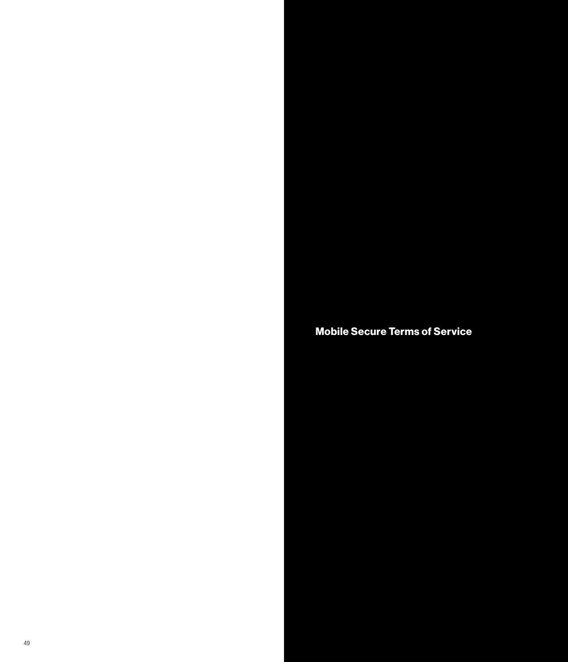Mobile Secure Terms of Service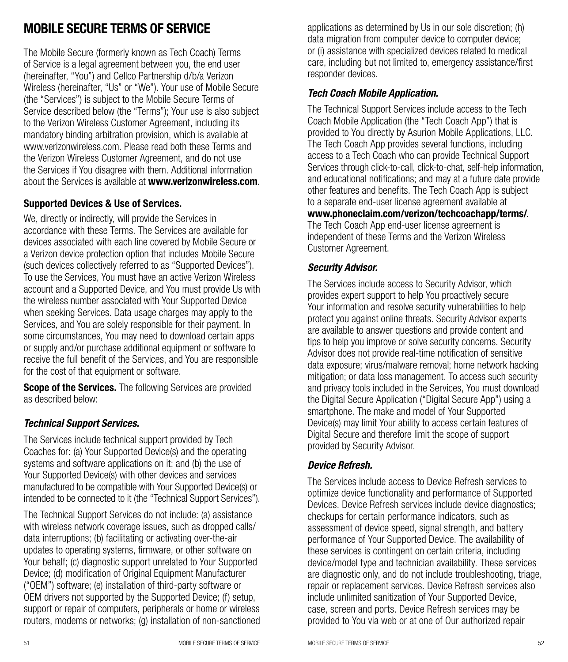## MOBILE SECURE TERMS OF SERVICE

The Mobile Secure (formerly known as Tech Coach) Terms of Service is a legal agreement between you, the end user (hereinafter, "You") and Cellco Partnership d/b/a Verizon Wireless (hereinafter, "Us" or "We"). Your use of Mobile Secure (the "Services") is subject to the Mobile Secure Terms of Service described below (the "Terms"); Your use is also subject to the Verizon Wireless Customer Agreement, including its mandatory binding arbitration provision, which is available at www.verizonwireless.com. Please read both these Terms and the Verizon Wireless Customer Agreement, and do not use the Services if You disagree with them. Additional information about the Services is available at www.verizonwireless.com.

#### Supported Devices & Use of Services.

We, directly or indirectly, will provide the Services in accordance with these Terms. The Services are available for devices associated with each line covered by Mobile Secure or a Verizon device protection option that includes Mobile Secure (such devices collectively referred to as "Supported Devices"). To use the Services, You must have an active Verizon Wireless account and a Supported Device, and You must provide Us with the wireless number associated with Your Supported Device when seeking Services. Data usage charges may apply to the Services, and You are solely responsible for their payment. In some circumstances, You may need to download certain apps or supply and/or purchase additional equipment or software to receive the full benefit of the Services, and You are responsible for the cost of that equipment or software.

**Scope of the Services.** The following Services are provided as described below:

#### *Technical Support Services.*

The Services include technical support provided by Tech Coaches for: (a) Your Supported Device(s) and the operating systems and software applications on it; and (b) the use of Your Supported Device(s) with other devices and services manufactured to be compatible with Your Supported Device(s) or intended to be connected to it (the "Technical Support Services").

The Technical Support Services do not include: (a) assistance with wireless network coverage issues, such as dropped calls/ data interruptions; (b) facilitating or activating over-the-air updates to operating systems, firmware, or other software on Your behalf; (c) diagnostic support unrelated to Your Supported Device; (d) modification of Original Equipment Manufacturer ("OEM") software; (e) installation of third-party software or OEM drivers not supported by the Supported Device; (f) setup, support or repair of computers, peripherals or home or wireless routers, modems or networks; (g) installation of non-sanctioned applications as determined by Us in our sole discretion; (h) data migration from computer device to computer device; or (i) assistance with specialized devices related to medical care, including but not limited to, emergency assistance/first responder devices.

#### *Tech Coach Mobile Application.*

The Technical Support Services include access to the Tech Coach Mobile Application (the "Tech Coach App") that is provided to You directly by Asurion Mobile Applications, LLC. The Tech Coach App provides several functions, including access to a Tech Coach who can provide Technical Support Services through click-to-call, click-to-chat, self-help information, and educational notifications; and may at a future date provide other features and benefits. The Tech Coach App is subject to a separate end-user license agreement available at www.phoneclaim.com/verizon/techcoachapp/terms/. The Tech Coach App end-user license agreement is independent of these Terms and the Verizon Wireless Customer Agreement.

#### *Security Advisor.*

The Services include access to Security Advisor, which provides expert support to help You proactively secure Your information and resolve security vulnerabilities to help protect you against online threats. Security Advisor experts are available to answer questions and provide content and tips to help you improve or solve security concerns. Security Advisor does not provide real-time notification of sensitive data exposure; virus/malware removal; home network hacking mitigation; or data loss management. To access such security and privacy tools included in the Services, You must download the Digital Secure Application ("Digital Secure App") using a smartphone. The make and model of Your Supported Device(s) may limit Your ability to access certain features of Digital Secure and therefore limit the scope of support provided by Security Advisor.

## *Device Refresh.*

The Services include access to Device Refresh services to optimize device functionality and performance of Supported Devices. Device Refresh services include device diagnostics; checkups for certain performance indicators, such as assessment of device speed, signal strength, and battery performance of Your Supported Device. The availability of these services is contingent on certain criteria, including device/model type and technician availability. These services are diagnostic only, and do not include troubleshooting, triage, repair or replacement services. Device Refresh services also include unlimited sanitization of Your Supported Device, case, screen and ports. Device Refresh services may be provided to You via web or at one of Our authorized repair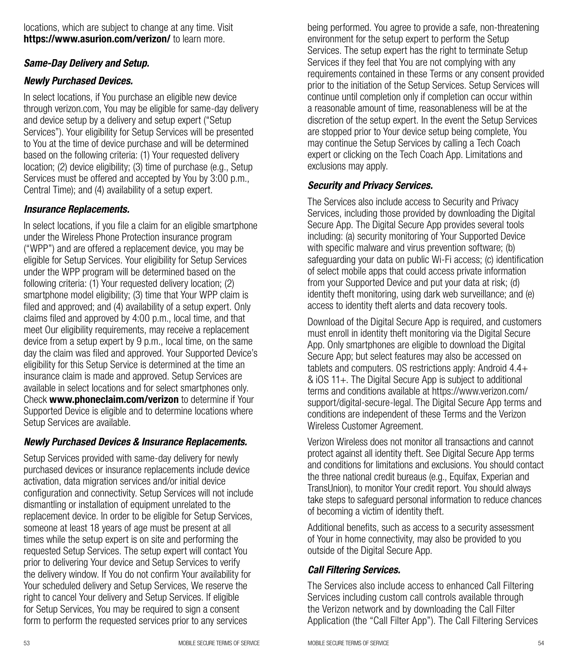locations, which are subject to change at any time. Visit https://www.asurion.com/verizon/ to learn more.

## *Same-Day Delivery and Setup.*

#### *Newly Purchased Devices.*

In select locations, if You purchase an eligible new device through verizon.com, You may be eligible for same-day delivery and device setup by a delivery and setup expert ("Setup Services"). Your eligibility for Setup Services will be presented to You at the time of device purchase and will be determined based on the following criteria: (1) Your requested delivery location; (2) device eligibility; (3) time of purchase (e.g., Setup Services must be offered and accepted by You by 3:00 p.m., Central Time); and (4) availability of a setup expert.

#### *Insurance Replacements.*

In select locations, if you file a claim for an eligible smartphone under the Wireless Phone Protection insurance program ("WPP") and are offered a replacement device, you may be eligible for Setup Services. Your eligibility for Setup Services under the WPP program will be determined based on the following criteria: (1) Your requested delivery location; (2) smartphone model eligibility; (3) time that Your WPP claim is filed and approved; and (4) availability of a setup expert. Only claims filed and approved by 4:00 p.m., local time, and that meet Our eligibility requirements, may receive a replacement device from a setup expert by 9 p.m., local time, on the same day the claim was filed and approved. Your Supported Device's eligibility for this Setup Service is determined at the time an insurance claim is made and approved. Setup Services are available in select locations and for select smartphones only. Check www.phoneclaim.com/verizon to determine if Your Supported Device is eligible and to determine locations where Setup Services are available.

## *Newly Purchased Devices & Insurance Replacements.*

Setup Services provided with same-day delivery for newly purchased devices or insurance replacements include device activation, data migration services and/or initial device configuration and connectivity. Setup Services will not include dismantling or installation of equipment unrelated to the replacement device. In order to be eligible for Setup Services, someone at least 18 years of age must be present at all times while the setup expert is on site and performing the requested Setup Services. The setup expert will contact You prior to delivering Your device and Setup Services to verify the delivery window. If You do not confirm Your availability for Your scheduled delivery and Setup Services, We reserve the right to cancel Your delivery and Setup Services. If eligible for Setup Services, You may be required to sign a consent form to perform the requested services prior to any services

being performed. You agree to provide a safe, non-threatening environment for the setup expert to perform the Setup Services. The setup expert has the right to terminate Setup Services if they feel that You are not complying with any requirements contained in these Terms or any consent provided prior to the initiation of the Setup Services. Setup Services will continue until completion only if completion can occur within a reasonable amount of time, reasonableness will be at the discretion of the setup expert. In the event the Setup Services are stopped prior to Your device setup being complete, You may continue the Setup Services by calling a Tech Coach expert or clicking on the Tech Coach App. Limitations and exclusions may apply.

#### *Security and Privacy Services.*

The Services also include access to Security and Privacy Services, including those provided by downloading the Digital Secure App. The Digital Secure App provides several tools including: (a) security monitoring of Your Supported Device with specific malware and virus prevention software; (b) safeguarding your data on public Wi-Fi access; (c) identification of select mobile apps that could access private information from your Supported Device and put your data at risk; (d) identity theft monitoring, using dark web surveillance; and (e) access to identity theft alerts and data recovery tools.

Download of the Digital Secure App is required, and customers must enroll in identity theft monitoring via the Digital Secure App. Only smartphones are eligible to download the Digital Secure App; but select features may also be accessed on tablets and computers. OS restrictions apply: Android 4.4+ & iOS 11+. The Digital Secure App is subject to additional terms and conditions available at https://www.verizon.com/ support/digital-secure-legal. The Digital Secure App terms and conditions are independent of these Terms and the Verizon Wireless Customer Agreement.

Verizon Wireless does not monitor all transactions and cannot protect against all identity theft. See Digital Secure App terms and conditions for limitations and exclusions. You should contact the three national credit bureaus (e.g., Equifax, Experian and TransUnion), to monitor Your credit report. You should always take steps to safeguard personal information to reduce chances of becoming a victim of identity theft.

Additional benefits, such as access to a security assessment of Your in home connectivity, may also be provided to you outside of the Digital Secure App.

## *Call Filtering Services.*

The Services also include access to enhanced Call Filtering Services including custom call controls available through the Verizon network and by downloading the Call Filter Application (the "Call Filter App"). The Call Filtering Services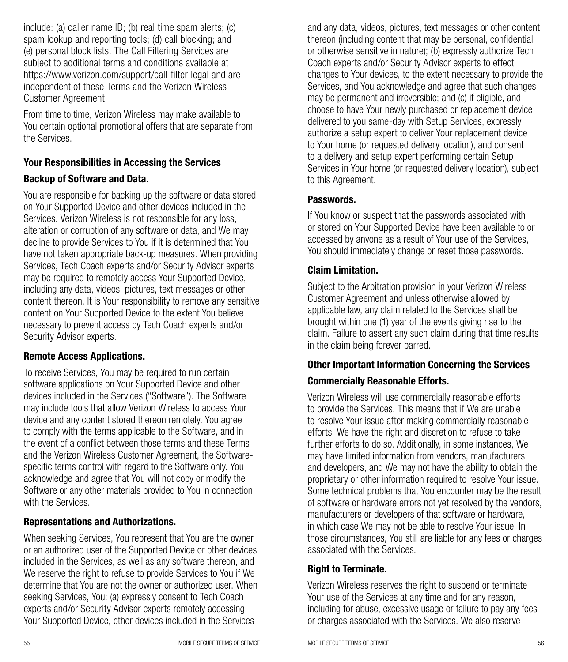include: (a) caller name ID; (b) real time spam alerts; (c) spam lookup and reporting tools; (d) call blocking; and (e) personal block lists. The Call Filtering Services are subject to additional terms and conditions available at https://www.verizon.com/support/call-filter-legal and are independent of these Terms and the Verizon Wireless Customer Agreement.

From time to time, Verizon Wireless may make available to You certain optional promotional offers that are separate from the Services.

## Your Responsibilities in Accessing the Services Backup of Software and Data.

You are responsible for backing up the software or data stored on Your Supported Device and other devices included in the Services. Verizon Wireless is not responsible for any loss, alteration or corruption of any software or data, and We may decline to provide Services to You if it is determined that You have not taken appropriate back-up measures. When providing Services, Tech Coach experts and/or Security Advisor experts may be required to remotely access Your Supported Device, including any data, videos, pictures, text messages or other content thereon. It is Your responsibility to remove any sensitive content on Your Supported Device to the extent You believe necessary to prevent access by Tech Coach experts and/or Security Advisor experts.

## Remote Access Applications.

To receive Services, You may be required to run certain software applications on Your Supported Device and other devices included in the Services ("Software"). The Software may include tools that allow Verizon Wireless to access Your device and any content stored thereon remotely. You agree to comply with the terms applicable to the Software, and in the event of a conflict between those terms and these Terms and the Verizon Wireless Customer Agreement, the Softwarespecific terms control with regard to the Software only. You acknowledge and agree that You will not copy or modify the Software or any other materials provided to You in connection with the Services.

#### Representations and Authorizations.

When seeking Services, You represent that You are the owner or an authorized user of the Supported Device or other devices included in the Services, as well as any software thereon, and We reserve the right to refuse to provide Services to You if We determine that You are not the owner or authorized user. When seeking Services, You: (a) expressly consent to Tech Coach experts and/or Security Advisor experts remotely accessing Your Supported Device, other devices included in the Services

and any data, videos, pictures, text messages or other content thereon (including content that may be personal, confidential or otherwise sensitive in nature); (b) expressly authorize Tech Coach experts and/or Security Advisor experts to effect changes to Your devices, to the extent necessary to provide the Services, and You acknowledge and agree that such changes may be permanent and irreversible; and (c) if eligible, and choose to have Your newly purchased or replacement device delivered to you same-day with Setup Services, expressly authorize a setup expert to deliver Your replacement device to Your home (or requested delivery location), and consent to a delivery and setup expert performing certain Setup Services in Your home (or requested delivery location), subject to this Agreement.

#### Passwords.

If You know or suspect that the passwords associated with or stored on Your Supported Device have been available to or accessed by anyone as a result of Your use of the Services, You should immediately change or reset those passwords.

## Claim Limitation.

Subject to the Arbitration provision in your Verizon Wireless Customer Agreement and unless otherwise allowed by applicable law, any claim related to the Services shall be brought within one (1) year of the events giving rise to the claim. Failure to assert any such claim during that time results in the claim being forever barred.

#### Other Important Information Concerning the Services

## Commercially Reasonable Efforts.

Verizon Wireless will use commercially reasonable efforts to provide the Services. This means that if We are unable to resolve Your issue after making commercially reasonable efforts, We have the right and discretion to refuse to take further efforts to do so. Additionally, in some instances, We may have limited information from vendors, manufacturers and developers, and We may not have the ability to obtain the proprietary or other information required to resolve Your issue. Some technical problems that You encounter may be the result of software or hardware errors not yet resolved by the vendors, manufacturers or developers of that software or hardware, in which case We may not be able to resolve Your issue. In those circumstances, You still are liable for any fees or charges associated with the Services.

#### Right to Terminate.

Verizon Wireless reserves the right to suspend or terminate Your use of the Services at any time and for any reason, including for abuse, excessive usage or failure to pay any fees or charges associated with the Services. We also reserve